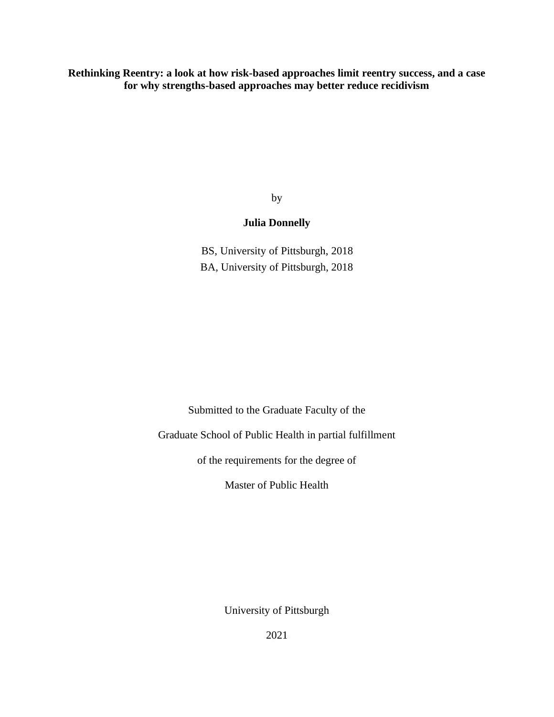**Rethinking Reentry: a look at how risk-based approaches limit reentry success, and a case for why strengths-based approaches may better reduce recidivism**

by

## **Julia Donnelly**

BS, University of Pittsburgh, 2018 BA, University of Pittsburgh, 2018

Submitted to the Graduate Faculty of the

Graduate School of Public Health in partial fulfillment

of the requirements for the degree of

Master of Public Health

University of Pittsburgh

2021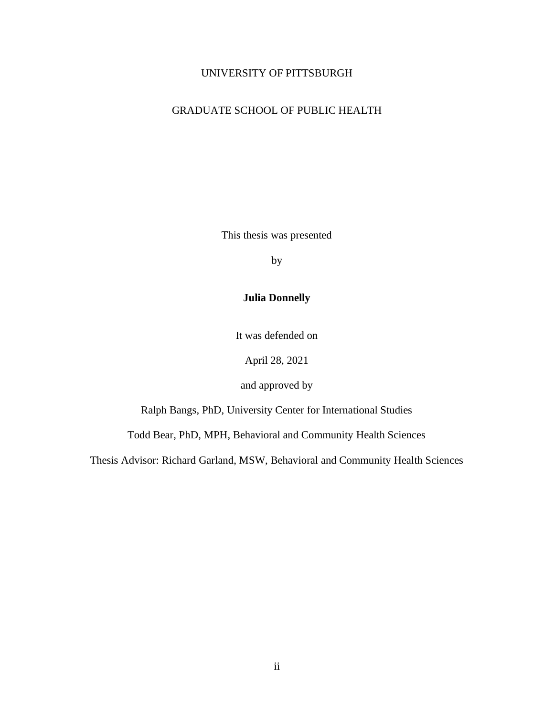#### UNIVERSITY OF PITTSBURGH

## GRADUATE SCHOOL OF PUBLIC HEALTH

This thesis was presented

by

## **Julia Donnelly**

It was defended on

April 28, 2021

and approved by

Ralph Bangs, PhD, University Center for International Studies

Todd Bear, PhD, MPH, Behavioral and Community Health Sciences

Thesis Advisor: Richard Garland, MSW, Behavioral and Community Health Sciences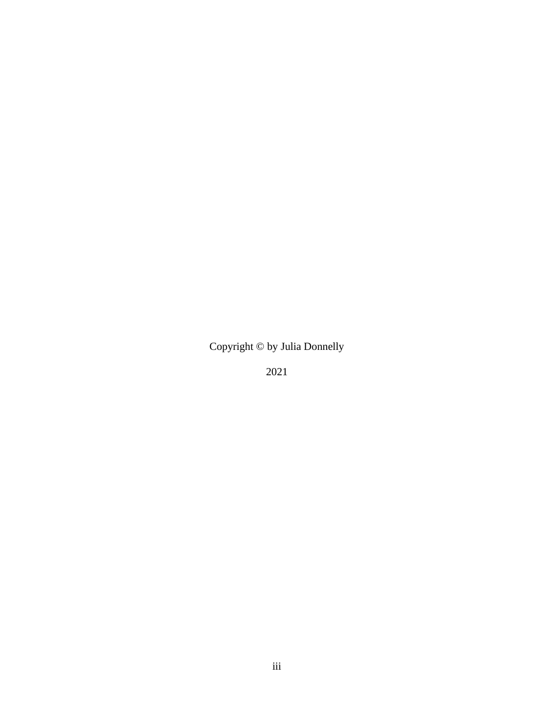Copyright © by Julia Donnelly

2021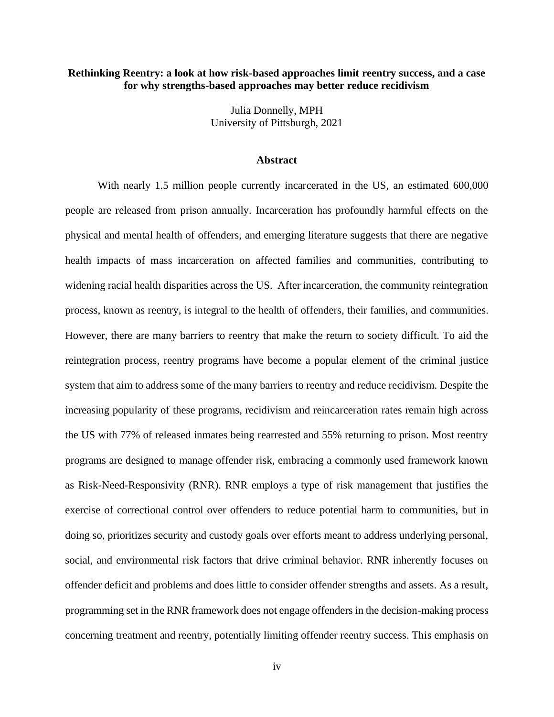#### **Rethinking Reentry: a look at how risk-based approaches limit reentry success, and a case for why strengths-based approaches may better reduce recidivism**

Julia Donnelly, MPH University of Pittsburgh, 2021

#### **Abstract**

With nearly 1.5 million people currently incarcerated in the US, an estimated 600,000 people are released from prison annually. Incarceration has profoundly harmful effects on the physical and mental health of offenders, and emerging literature suggests that there are negative health impacts of mass incarceration on affected families and communities, contributing to widening racial health disparities across the US. After incarceration, the community reintegration process, known as reentry, is integral to the health of offenders, their families, and communities. However, there are many barriers to reentry that make the return to society difficult. To aid the reintegration process, reentry programs have become a popular element of the criminal justice system that aim to address some of the many barriers to reentry and reduce recidivism. Despite the increasing popularity of these programs, recidivism and reincarceration rates remain high across the US with 77% of released inmates being rearrested and 55% returning to prison. Most reentry programs are designed to manage offender risk, embracing a commonly used framework known as Risk-Need-Responsivity (RNR). RNR employs a type of risk management that justifies the exercise of correctional control over offenders to reduce potential harm to communities, but in doing so, prioritizes security and custody goals over efforts meant to address underlying personal, social, and environmental risk factors that drive criminal behavior. RNR inherently focuses on offender deficit and problems and does little to consider offender strengths and assets. As a result, programming set in the RNR framework does not engage offenders in the decision-making process concerning treatment and reentry, potentially limiting offender reentry success. This emphasis on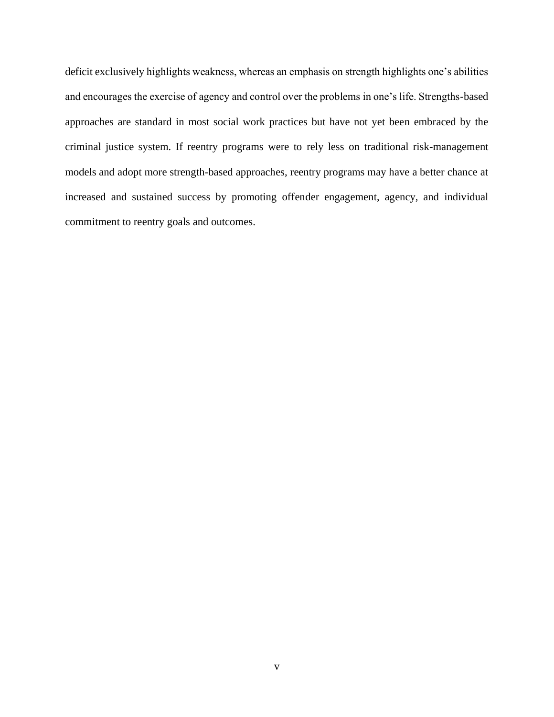deficit exclusively highlights weakness, whereas an emphasis on strength highlights one's abilities and encourages the exercise of agency and control over the problems in one's life. Strengths-based approaches are standard in most social work practices but have not yet been embraced by the criminal justice system. If reentry programs were to rely less on traditional risk-management models and adopt more strength-based approaches, reentry programs may have a better chance at increased and sustained success by promoting offender engagement, agency, and individual commitment to reentry goals and outcomes.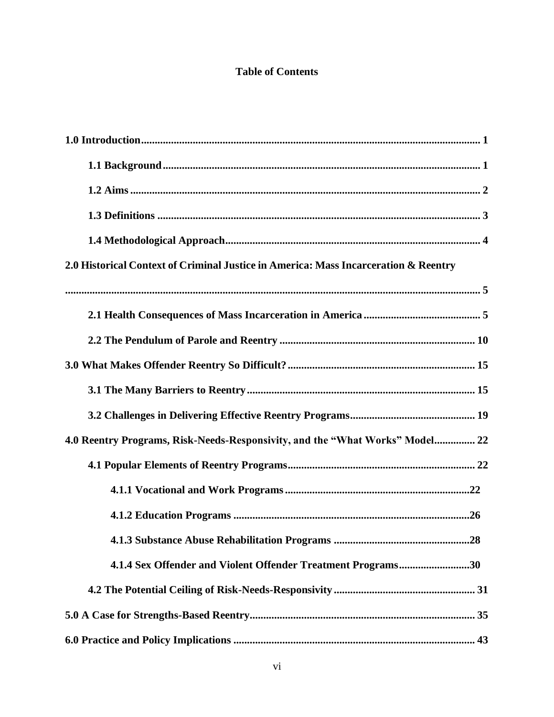# **Table of Contents**

| 2.0 Historical Context of Criminal Justice in America: Mass Incarceration & Reentry |
|-------------------------------------------------------------------------------------|
|                                                                                     |
|                                                                                     |
|                                                                                     |
|                                                                                     |
|                                                                                     |
|                                                                                     |
| 4.0 Reentry Programs, Risk-Needs-Responsivity, and the "What Works" Model 22        |
|                                                                                     |
|                                                                                     |
|                                                                                     |
|                                                                                     |
| 4.1.4 Sex Offender and Violent Offender Treatment Programs30                        |
|                                                                                     |
|                                                                                     |
|                                                                                     |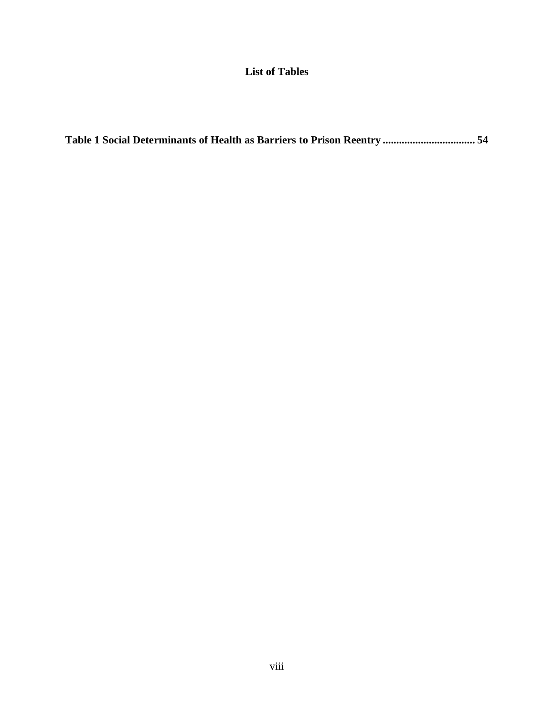# **List of Tables**

|--|--|--|--|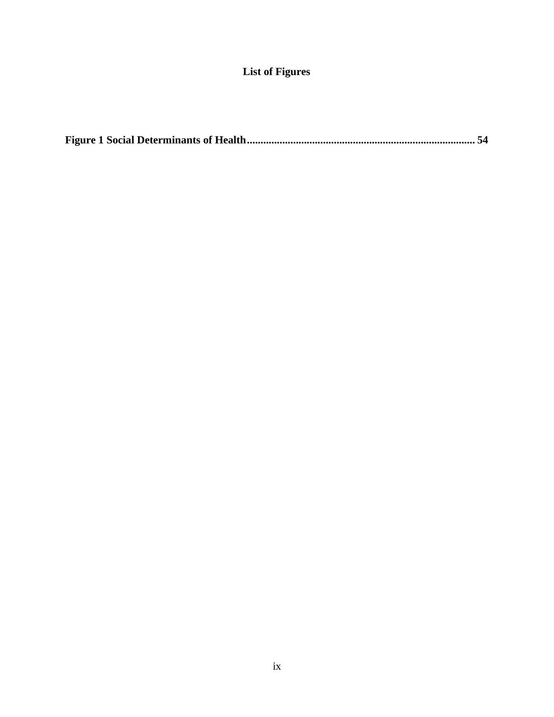# **List of Figures**

|--|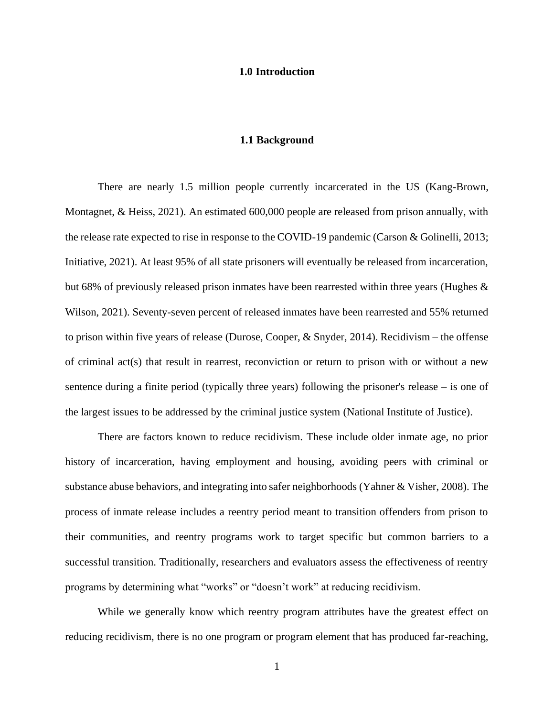#### **1.0 Introduction**

#### **1.1 Background**

<span id="page-9-1"></span><span id="page-9-0"></span>There are nearly 1.5 million people currently incarcerated in the US [\(Kang-Brown,](#page-69-0)  [Montagnet, & Heiss, 2021\)](#page-69-0). An estimated 600,000 people are released from prison annually, with the release rate expected to rise in response to the COVID-19 pandemic [\(Carson & Golinelli, 2013;](#page-68-0) [Initiative, 2021\)](#page-69-1). At least 95% of all state prisoners will eventually be released from incarceration, but 68% of previously released prison inmates have been rearrested within three years (Hughes  $\&$ [Wilson, 2021\)](#page-69-2). Seventy-seven percent of released inmates have been rearrested and 55% returned to prison within five years of release [\(Durose, Cooper, & Snyder, 2014\)](#page-68-1). Recidivism – the offense of criminal act(s) that result in rearrest, reconviction or return to prison with or without a new sentence during a finite period (typically three years) following the prisoner's release – is one of the largest issues to be addressed by the criminal justice system [\(National Institute of Justice\)](#page-71-0).

There are factors known to reduce recidivism. These include older inmate age, no prior history of incarceration, having employment and housing, avoiding peers with criminal or substance abuse behaviors, and integrating into safer neighborhoods [\(Yahner & Visher, 2008\)](#page-74-0). The process of inmate release includes a reentry period meant to transition offenders from prison to their communities, and reentry programs work to target specific but common barriers to a successful transition. Traditionally, researchers and evaluators assess the effectiveness of reentry programs by determining what "works" or "doesn't work" at reducing recidivism.

While we generally know which reentry program attributes have the greatest effect on reducing recidivism, there is no one program or program element that has produced far-reaching,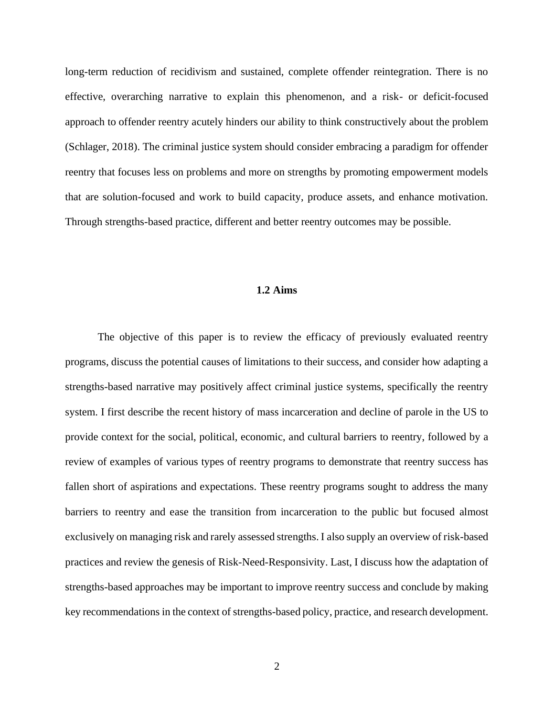long-term reduction of recidivism and sustained, complete offender reintegration. There is no effective, overarching narrative to explain this phenomenon, and a risk- or deficit-focused approach to offender reentry acutely hinders our ability to think constructively about the problem [\(Schlager, 2018\)](#page-72-0). The criminal justice system should consider embracing a paradigm for offender reentry that focuses less on problems and more on strengths by promoting empowerment models that are solution-focused and work to build capacity, produce assets, and enhance motivation. Through strengths-based practice, different and better reentry outcomes may be possible.

#### **1.2 Aims**

<span id="page-10-0"></span>The objective of this paper is to review the efficacy of previously evaluated reentry programs, discuss the potential causes of limitations to their success, and consider how adapting a strengths-based narrative may positively affect criminal justice systems, specifically the reentry system. I first describe the recent history of mass incarceration and decline of parole in the US to provide context for the social, political, economic, and cultural barriers to reentry, followed by a review of examples of various types of reentry programs to demonstrate that reentry success has fallen short of aspirations and expectations. These reentry programs sought to address the many barriers to reentry and ease the transition from incarceration to the public but focused almost exclusively on managing risk and rarely assessed strengths. I also supply an overview of risk-based practices and review the genesis of Risk-Need-Responsivity. Last, I discuss how the adaptation of strengths-based approaches may be important to improve reentry success and conclude by making key recommendations in the context of strengths-based policy, practice, and research development.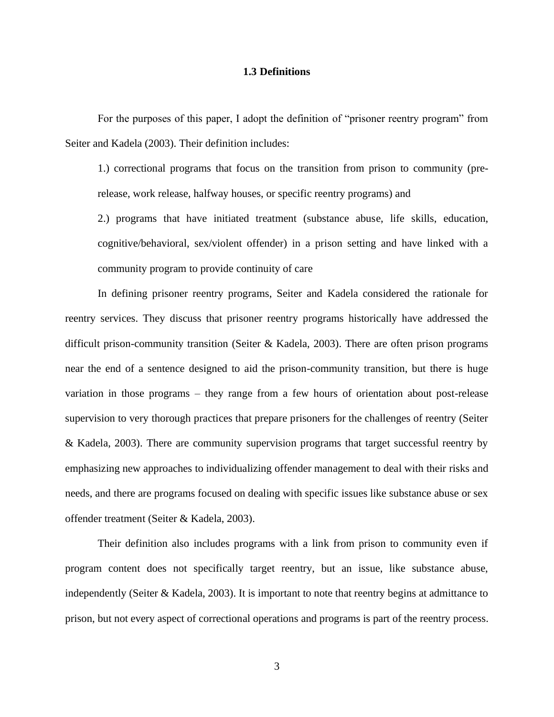#### **1.3 Definitions**

<span id="page-11-0"></span>For the purposes of this paper, I adopt the definition of "prisoner reentry program" from Seiter and Kadela (2003). Their definition includes:

1.) correctional programs that focus on the transition from prison to community (prerelease, work release, halfway houses, or specific reentry programs) and

2.) programs that have initiated treatment (substance abuse, life skills, education, cognitive/behavioral, sex/violent offender) in a prison setting and have linked with a community program to provide continuity of care

In defining prisoner reentry programs, Seiter and Kadela considered the rationale for reentry services. They discuss that prisoner reentry programs historically have addressed the difficult prison-community transition [\(Seiter & Kadela, 2003\)](#page-72-1). There are often prison programs near the end of a sentence designed to aid the prison-community transition, but there is huge variation in those programs – they range from a few hours of orientation about post-release supervision to very thorough practices that prepare prisoners for the challenges of reentry (Seiter & Kadela, 2003). There are community supervision programs that target successful reentry by emphasizing new approaches to individualizing offender management to deal with their risks and needs, and there are programs focused on dealing with specific issues like substance abuse or sex offender treatment (Seiter & Kadela, 2003).

Their definition also includes programs with a link from prison to community even if program content does not specifically target reentry, but an issue, like substance abuse, independently (Seiter & Kadela, 2003). It is important to note that reentry begins at admittance to prison, but not every aspect of correctional operations and programs is part of the reentry process.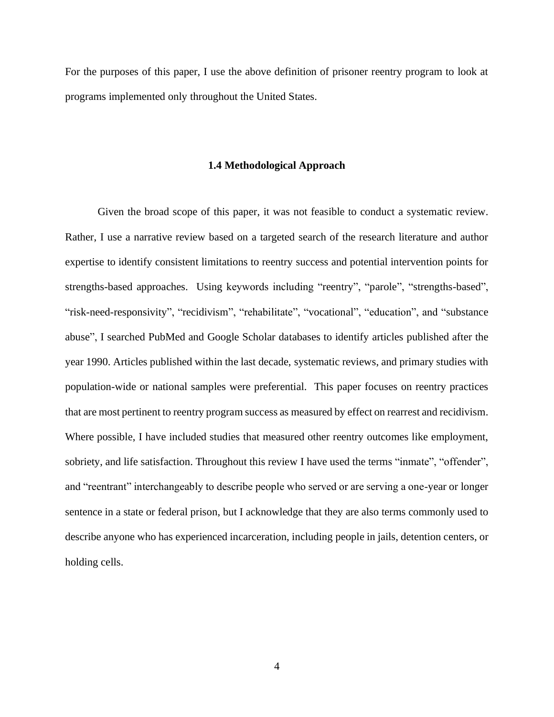<span id="page-12-0"></span>For the purposes of this paper, I use the above definition of prisoner reentry program to look at programs implemented only throughout the United States.

#### **1.4 Methodological Approach**

Given the broad scope of this paper, it was not feasible to conduct a systematic review. Rather, I use a narrative review based on a targeted search of the research literature and author expertise to identify consistent limitations to reentry success and potential intervention points for strengths-based approaches. Using keywords including "reentry", "parole", "strengths-based", "risk-need-responsivity", "recidivism", "rehabilitate", "vocational", "education", and "substance abuse", I searched PubMed and Google Scholar databases to identify articles published after the year 1990. Articles published within the last decade, systematic reviews, and primary studies with population-wide or national samples were preferential. This paper focuses on reentry practices that are most pertinent to reentry program success as measured by effect on rearrest and recidivism. Where possible, I have included studies that measured other reentry outcomes like employment, sobriety, and life satisfaction. Throughout this review I have used the terms "inmate", "offender", and "reentrant" interchangeably to describe people who served or are serving a one-year or longer sentence in a state or federal prison, but I acknowledge that they are also terms commonly used to describe anyone who has experienced incarceration, including people in jails, detention centers, or holding cells.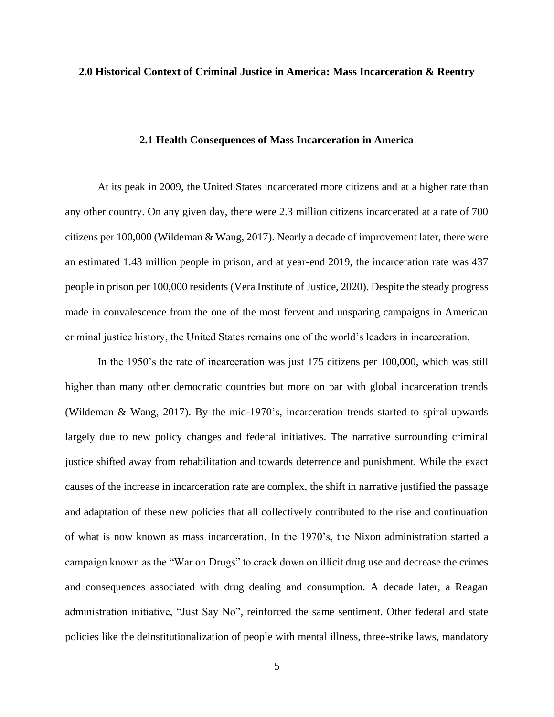#### <span id="page-13-0"></span>**2.0 Historical Context of Criminal Justice in America: Mass Incarceration & Reentry**

#### **2.1 Health Consequences of Mass Incarceration in America**

<span id="page-13-1"></span>At its peak in 2009, the United States incarcerated more citizens and at a higher rate than any other country. On any given day, there were 2.3 million citizens incarcerated at a rate of 700 citizens per 100,000 [\(Wildeman & Wang, 2017\)](#page-74-1). Nearly a decade of improvement later, there were an estimated 1.43 million people in prison, and at year-end 2019, the incarceration rate was 437 people in prison per 100,000 residents [\(Vera Institute of Justice, 2020\)](#page-73-0). Despite the steady progress made in convalescence from the one of the most fervent and unsparing campaigns in American criminal justice history, the United States remains one of the world's leaders in incarceration.

In the 1950's the rate of incarceration was just 175 citizens per 100,000, which was still higher than many other democratic countries but more on par with global incarceration trends [\(Wildeman & Wang, 2017\)](#page-74-1). By the mid-1970's, incarceration trends started to spiral upwards largely due to new policy changes and federal initiatives. The narrative surrounding criminal justice shifted away from rehabilitation and towards deterrence and punishment. While the exact causes of the increase in incarceration rate are complex, the shift in narrative justified the passage and adaptation of these new policies that all collectively contributed to the rise and continuation of what is now known as mass incarceration. In the 1970's, the Nixon administration started a campaign known as the "War on Drugs" to crack down on illicit drug use and decrease the crimes and consequences associated with drug dealing and consumption. A decade later, a Reagan administration initiative, "Just Say No", reinforced the same sentiment. Other federal and state policies like the deinstitutionalization of people with mental illness, three-strike laws, mandatory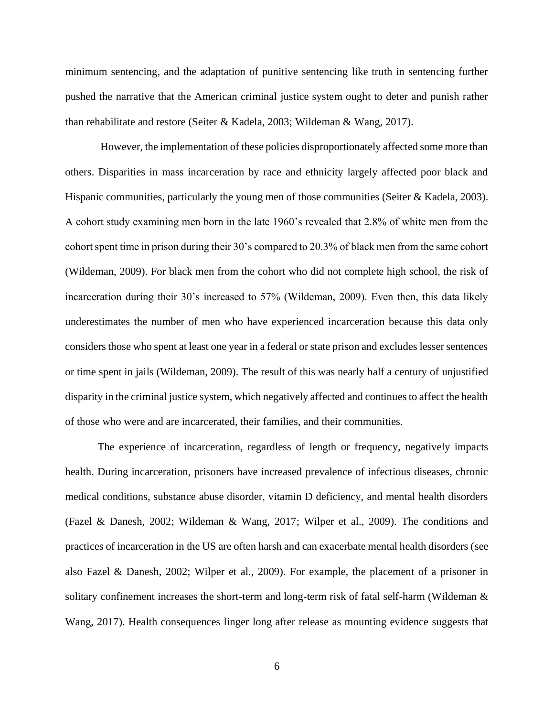minimum sentencing, and the adaptation of punitive sentencing like truth in sentencing further pushed the narrative that the American criminal justice system ought to deter and punish rather than rehabilitate and restore [\(Seiter & Kadela, 2003;](#page-72-1) [Wildeman & Wang, 2017\)](#page-74-1).

However, the implementation of these policies disproportionately affected some more than others. Disparities in mass incarceration by race and ethnicity largely affected poor black and Hispanic communities, particularly the young men of those communities (Seiter & Kadela, 2003). A cohort study examining men born in the late 1960's revealed that 2.8% of white men from the cohort spent time in prison during their 30's compared to 20.3% of black men from the same cohort [\(Wildeman, 2009\)](#page-74-2). For black men from the cohort who did not complete high school, the risk of incarceration during their 30's increased to 57% (Wildeman, 2009). Even then, this data likely underestimates the number of men who have experienced incarceration because this data only considers those who spent at least one year in a federal or state prison and excludes lesser sentences or time spent in jails (Wildeman, 2009). The result of this was nearly half a century of unjustified disparity in the criminal justice system, which negatively affected and continues to affect the health of those who were and are incarcerated, their families, and their communities.

The experience of incarceration, regardless of length or frequency, negatively impacts health. During incarceration, prisoners have increased prevalence of infectious diseases, chronic medical conditions, substance abuse disorder, vitamin D deficiency, and mental health disorders [\(Fazel & Danesh, 2002;](#page-69-3) [Wildeman & Wang, 2017;](#page-74-1) [Wilper et al., 2009\)](#page-74-3). The conditions and practices of incarceration in the US are often harsh and can exacerbate mental health disorders (see also Fazel & Danesh, 2002; Wilper et al., 2009). For example, the placement of a prisoner in solitary confinement increases the short-term and long-term risk of fatal self-harm (Wildeman & Wang, 2017). Health consequences linger long after release as mounting evidence suggests that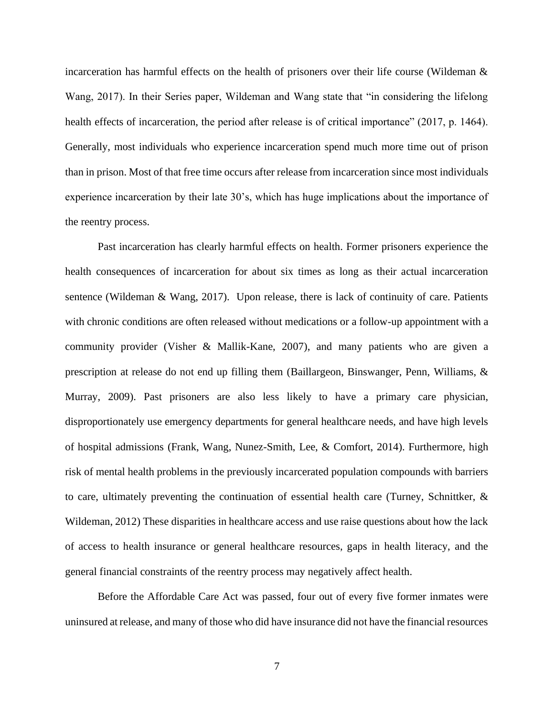incarceration has harmful effects on the health of prisoners over their life course (Wildeman  $\&$ Wang, 2017). In their Series paper, Wildeman and Wang state that "in considering the lifelong health effects of incarceration, the period after release is of critical importance" (2017, p. 1464). Generally, most individuals who experience incarceration spend much more time out of prison than in prison. Most of that free time occurs after release from incarceration since most individuals experience incarceration by their late 30's, which has huge implications about the importance of the reentry process.

Past incarceration has clearly harmful effects on health. Former prisoners experience the health consequences of incarceration for about six times as long as their actual incarceration sentence (Wildeman & Wang, 2017). Upon release, there is lack of continuity of care. Patients with chronic conditions are often released without medications or a follow-up appointment with a community provider [\(Visher & Mallik-Kane, 2007\)](#page-73-1), and many patients who are given a prescription at release do not end up filling them [\(Baillargeon, Binswanger, Penn, Williams, &](#page-67-1)  [Murray, 2009\)](#page-67-1). Past prisoners are also less likely to have a primary care physician, disproportionately use emergency departments for general healthcare needs, and have high levels of hospital admissions [\(Frank, Wang, Nunez-Smith, Lee, & Comfort, 2014\)](#page-69-4). Furthermore, high risk of mental health problems in the previously incarcerated population compounds with barriers to care, ultimately preventing the continuation of essential health care (Turney, Schnittker,  $\&$ [Wildeman, 2012\)](#page-73-2) These disparities in healthcare access and use raise questions about how the lack of access to health insurance or general healthcare resources, gaps in health literacy, and the general financial constraints of the reentry process may negatively affect health.

Before the Affordable Care Act was passed, four out of every five former inmates were uninsured at release, and many of those who did have insurance did not have the financial resources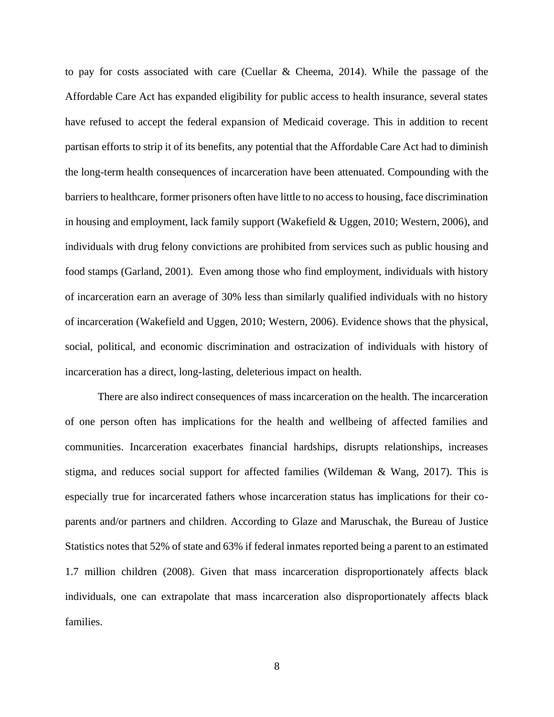to pay for costs associated with care [\(Cuellar & Cheema, 2014\)](#page-68-2). While the passage of the Affordable Care Act has expanded eligibility for public access to health insurance, several states have refused to accept the federal expansion of Medicaid coverage. This in addition to recent partisan efforts to strip it of its benefits, any potential that the Affordable Care Act had to diminish the long-term health consequences of incarceration have been attenuated. Compounding with the barriers to healthcare, former prisoners often have little to no access to housing, face discrimination in housing and employment, lack family support [\(Wakefield & Uggen, 2010;](#page-73-3) [Western, 2006\)](#page-74-4), and individuals with drug felony convictions are prohibited from services such as public housing and food stamps [\(Garland, 2001\)](#page-69-5). Even among those who find employment, individuals with history of incarceration earn an average of 30% less than similarly qualified individuals with no history of incarceration (Wakefield and Uggen, 2010; Western, 2006). Evidence shows that the physical, social, political, and economic discrimination and ostracization of individuals with history of incarceration has a direct, long-lasting, deleterious impact on health.

There are also indirect consequences of mass incarceration on the health. The incarceration of one person often has implications for the health and wellbeing of affected families and communities. Incarceration exacerbates financial hardships, disrupts relationships, increases stigma, and reduces social support for affected families (Wildeman & Wang, 2017). This is especially true for incarcerated fathers whose incarceration status has implications for their coparents and/or partners and children. According to Glaze and Maruschak, the Bureau of Justice Statistics notes that 52% of state and 63% if federal inmates reported being a parent to an estimated 1.7 million children [\(2008\)](#page-69-6). Given that mass incarceration disproportionately affects black individuals, one can extrapolate that mass incarceration also disproportionately affects black families.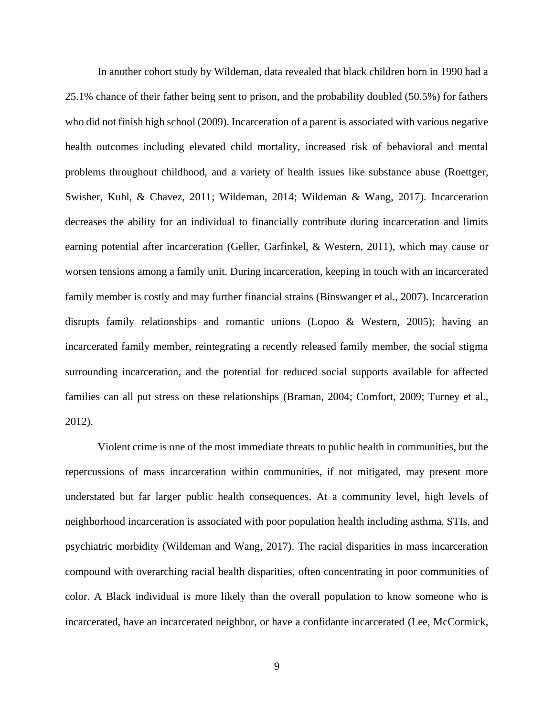In another cohort study by Wildeman, data revealed that black children born in 1990 had a 25.1% chance of their father being sent to prison, and the probability doubled (50.5%) for fathers who did not finish high school (2009). Incarceration of a parent is associated with various negative health outcomes including elevated child mortality, increased risk of behavioral and mental problems throughout childhood, and a variety of health issues like substance abuse [\(Roettger,](#page-72-2)  [Swisher, Kuhl, & Chavez, 2011;](#page-72-2) [Wildeman, 2014;](#page-74-5) [Wildeman & Wang, 2017\)](#page-74-1). Incarceration decreases the ability for an individual to financially contribute during incarceration and limits earning potential after incarceration [\(Geller, Garfinkel, & Western, 2011\)](#page-69-7), which may cause or worsen tensions among a family unit. During incarceration, keeping in touch with an incarcerated family member is costly and may further financial strains [\(Binswanger et al., 2007\)](#page-67-2). Incarceration disrupts family relationships and romantic unions [\(Lopoo & Western, 2005\)](#page-70-0); having an incarcerated family member, reintegrating a recently released family member, the social stigma surrounding incarceration, and the potential for reduced social supports available for affected families can all put stress on these relationships [\(Braman, 2004;](#page-67-3) [Comfort, 2009;](#page-68-3) [Turney et al.,](#page-73-2)  [2012\)](#page-73-2).

Violent crime is one of the most immediate threats to public health in communities, but the repercussions of mass incarceration within communities, if not mitigated, may present more understated but far larger public health consequences. At a community level, high levels of neighborhood incarceration is associated with poor population health including asthma, STIs, and psychiatric morbidity (Wildeman and Wang, 2017). The racial disparities in mass incarceration compound with overarching racial health disparities, often concentrating in poor communities of color. A Black individual is more likely than the overall population to know someone who is incarcerated, have an incarcerated neighbor, or have a confidante incarcerated [\(Lee, McCormick,](#page-70-1)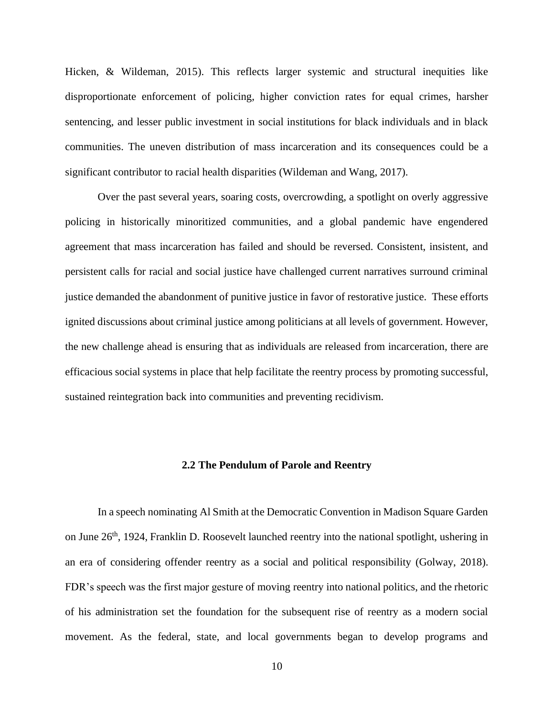[Hicken, & Wildeman, 2015\)](#page-70-1). This reflects larger systemic and structural inequities like disproportionate enforcement of policing, higher conviction rates for equal crimes, harsher sentencing, and lesser public investment in social institutions for black individuals and in black communities. The uneven distribution of mass incarceration and its consequences could be a significant contributor to racial health disparities (Wildeman and Wang, 2017).

Over the past several years, soaring costs, overcrowding, a spotlight on overly aggressive policing in historically minoritized communities, and a global pandemic have engendered agreement that mass incarceration has failed and should be reversed. Consistent, insistent, and persistent calls for racial and social justice have challenged current narratives surround criminal justice demanded the abandonment of punitive justice in favor of restorative justice. These efforts ignited discussions about criminal justice among politicians at all levels of government. However, the new challenge ahead is ensuring that as individuals are released from incarceration, there are efficacious social systems in place that help facilitate the reentry process by promoting successful, sustained reintegration back into communities and preventing recidivism.

#### **2.2 The Pendulum of Parole and Reentry**

<span id="page-18-0"></span>In a speech nominating Al Smith at the Democratic Convention in Madison Square Garden on June 26<sup>th</sup>, 1924, Franklin D. Roosevelt launched reentry into the national spotlight, ushering in an era of considering offender reentry as a social and political responsibility [\(Golway, 2018\)](#page-69-8). FDR's speech was the first major gesture of moving reentry into national politics, and the rhetoric of his administration set the foundation for the subsequent rise of reentry as a modern social movement. As the federal, state, and local governments began to develop programs and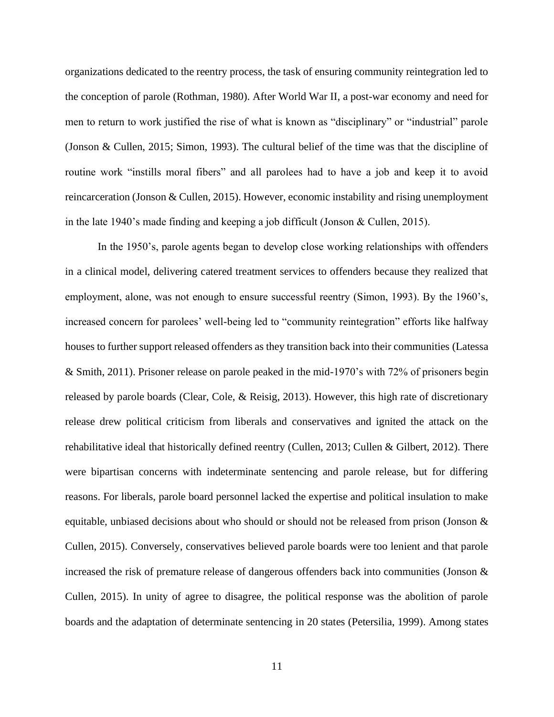organizations dedicated to the reentry process, the task of ensuring community reintegration led to the conception of parole [\(Rothman, 1980\)](#page-72-3). After World War II, a post-war economy and need for men to return to work justified the rise of what is known as "disciplinary" or "industrial" parole [\(Jonson & Cullen, 2015;](#page-69-9) [Simon, 1993\)](#page-72-4). The cultural belief of the time was that the discipline of routine work "instills moral fibers" and all parolees had to have a job and keep it to avoid reincarceration (Jonson & Cullen, 2015). However, economic instability and rising unemployment in the late 1940's made finding and keeping a job difficult (Jonson & Cullen, 2015).

In the 1950's, parole agents began to develop close working relationships with offenders in a clinical model, delivering catered treatment services to offenders because they realized that employment, alone, was not enough to ensure successful reentry (Simon, 1993). By the 1960's, increased concern for parolees' well-being led to "community reintegration" efforts like halfway houses to further support released offenders as they transition back into their communities [\(Latessa](#page-70-2)  [& Smith, 2011\)](#page-70-2). Prisoner release on parole peaked in the mid-1970's with 72% of prisoners begin released by parole boards [\(Clear, Cole, & Reisig, 2013\)](#page-68-4). However, this high rate of discretionary release drew political criticism from liberals and conservatives and ignited the attack on the rehabilitative ideal that historically defined reentry [\(Cullen, 2013;](#page-68-5) [Cullen & Gilbert, 2012\)](#page-68-6). There were bipartisan concerns with indeterminate sentencing and parole release, but for differing reasons. For liberals, parole board personnel lacked the expertise and political insulation to make equitable, unbiased decisions about who should or should not be released from prison [\(Jonson &](#page-69-9)  [Cullen, 2015\)](#page-69-9). Conversely, conservatives believed parole boards were too lenient and that parole increased the risk of premature release of dangerous offenders back into communities [\(Jonson &](#page-69-9)  [Cullen, 2015\)](#page-69-9). In unity of agree to disagree, the political response was the abolition of parole boards and the adaptation of determinate sentencing in 20 states [\(Petersilia, 1999\)](#page-71-1). Among states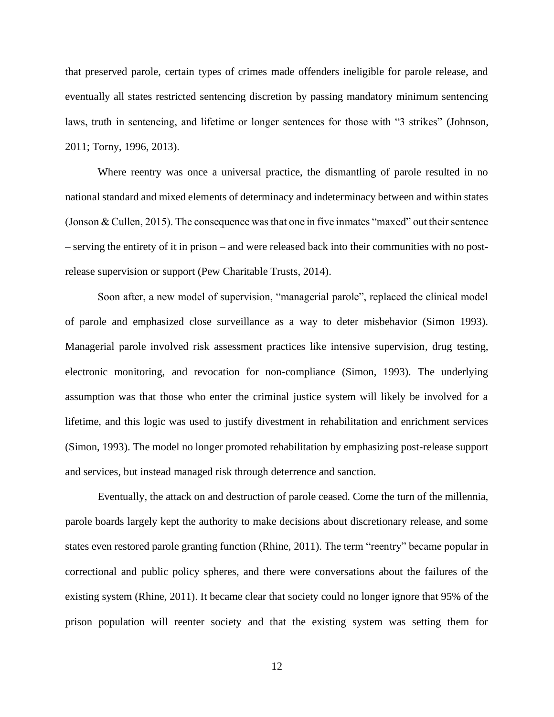that preserved parole, certain types of crimes made offenders ineligible for parole release, and eventually all states restricted sentencing discretion by passing mandatory minimum sentencing laws, truth in sentencing, and lifetime or longer sentences for those with "3 strikes" [\(Johnson,](#page-69-10) [2011;](#page-69-10) [Torny, 1996,](#page-73-4) [2013\)](#page-73-5).

Where reentry was once a universal practice, the dismantling of parole resulted in no national standard and mixed elements of determinacy and indeterminacy between and within states (Jonson & Cullen, 2015). The consequence was that one in five inmates "maxed" out their sentence – serving the entirety of it in prison – and were released back into their communities with no postrelease supervision or support [\(Pew Charitable Trusts, 2014\)](#page-71-2).

Soon after, a new model of supervision, "managerial parole", replaced the clinical model of parole and emphasized close surveillance as a way to deter misbehavior (Simon 1993). Managerial parole involved risk assessment practices like intensive supervision, drug testing, electronic monitoring, and revocation for non-compliance (Simon, 1993). The underlying assumption was that those who enter the criminal justice system will likely be involved for a lifetime, and this logic was used to justify divestment in rehabilitation and enrichment services (Simon, 1993). The model no longer promoted rehabilitation by emphasizing post-release support and services, but instead managed risk through deterrence and sanction.

Eventually, the attack on and destruction of parole ceased. Come the turn of the millennia, parole boards largely kept the authority to make decisions about discretionary release, and some states even restored parole granting function [\(Rhine, 2011\)](#page-71-3). The term "reentry" became popular in correctional and public policy spheres, and there were conversations about the failures of the existing system [\(Rhine, 2011\)](#page-71-3). It became clear that society could no longer ignore that 95% of the prison population will reenter society and that the existing system was setting them for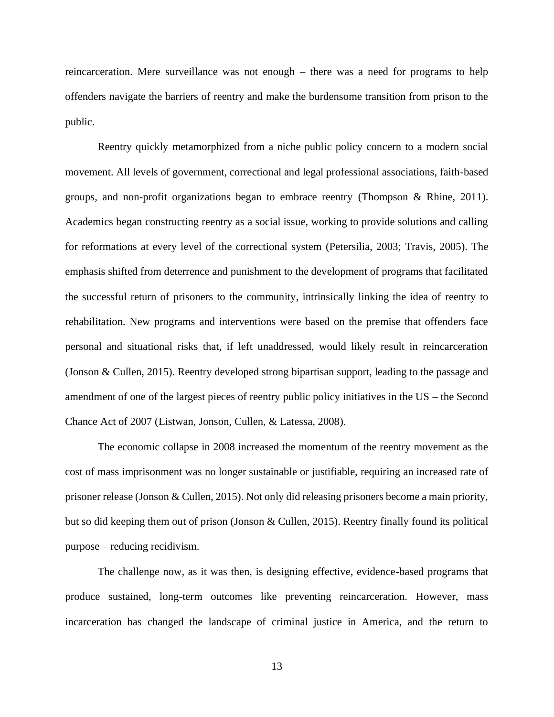reincarceration. Mere surveillance was not enough – there was a need for programs to help offenders navigate the barriers of reentry and make the burdensome transition from prison to the public.

Reentry quickly metamorphized from a niche public policy concern to a modern social movement. All levels of government, correctional and legal professional associations, faith-based groups, and non-profit organizations began to embrace reentry [\(Thompson & Rhine, 2011\)](#page-73-6). Academics began constructing reentry as a social issue, working to provide solutions and calling for reformations at every level of the correctional system [\(Petersilia, 2003;](#page-71-4) [Travis, 2005\)](#page-73-7). The emphasis shifted from deterrence and punishment to the development of programs that facilitated the successful return of prisoners to the community, intrinsically linking the idea of reentry to rehabilitation. New programs and interventions were based on the premise that offenders face personal and situational risks that, if left unaddressed, would likely result in reincarceration (Jonson & Cullen, 2015). Reentry developed strong bipartisan support, leading to the passage and amendment of one of the largest pieces of reentry public policy initiatives in the US – the Second Chance Act of 2007 [\(Listwan, Jonson, Cullen, & Latessa, 2008\)](#page-70-3).

The economic collapse in 2008 increased the momentum of the reentry movement as the cost of mass imprisonment was no longer sustainable or justifiable, requiring an increased rate of prisoner release (Jonson & Cullen, 2015). Not only did releasing prisoners become a main priority, but so did keeping them out of prison (Jonson & Cullen, 2015). Reentry finally found its political purpose – reducing recidivism.

The challenge now, as it was then, is designing effective, evidence-based programs that produce sustained, long-term outcomes like preventing reincarceration. However, mass incarceration has changed the landscape of criminal justice in America, and the return to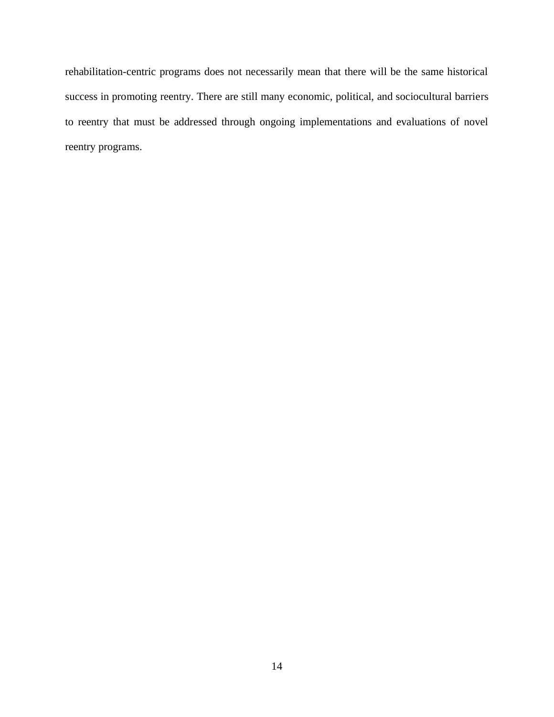rehabilitation-centric programs does not necessarily mean that there will be the same historical success in promoting reentry. There are still many economic, political, and sociocultural barriers to reentry that must be addressed through ongoing implementations and evaluations of novel reentry programs.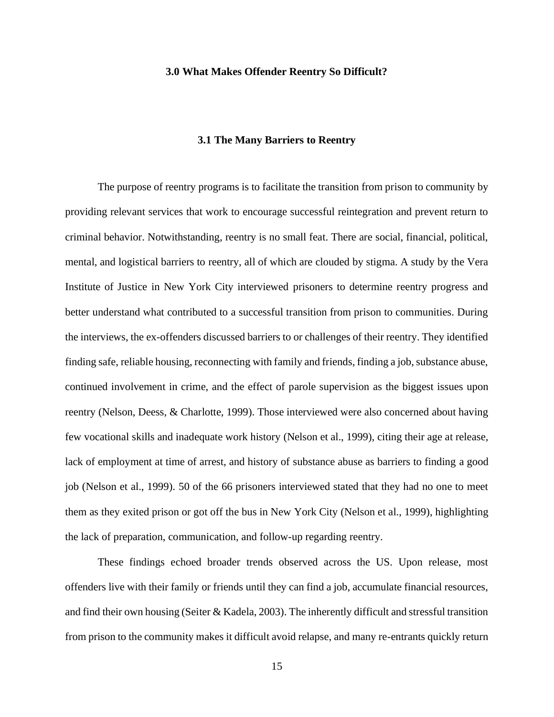#### <span id="page-23-0"></span>**3.0 What Makes Offender Reentry So Difficult?**

#### **3.1 The Many Barriers to Reentry**

<span id="page-23-1"></span>The purpose of reentry programs is to facilitate the transition from prison to community by providing relevant services that work to encourage successful reintegration and prevent return to criminal behavior. Notwithstanding, reentry is no small feat. There are social, financial, political, mental, and logistical barriers to reentry, all of which are clouded by stigma. A study by the Vera Institute of Justice in New York City interviewed prisoners to determine reentry progress and better understand what contributed to a successful transition from prison to communities. During the interviews, the ex-offenders discussed barriers to or challenges of their reentry. They identified finding safe, reliable housing, reconnecting with family and friends, finding a job, substance abuse, continued involvement in crime, and the effect of parole supervision as the biggest issues upon reentry [\(Nelson, Deess, & Charlotte, 1999\)](#page-71-5). Those interviewed were also concerned about having few vocational skills and inadequate work history [\(Nelson et al., 1999\)](#page-71-5), citing their age at release, lack of employment at time of arrest, and history of substance abuse as barriers to finding a good job [\(Nelson et al., 1999\)](#page-71-5). 50 of the 66 prisoners interviewed stated that they had no one to meet them as they exited prison or got off the bus in New York City [\(Nelson et al., 1999\)](#page-71-5), highlighting the lack of preparation, communication, and follow-up regarding reentry.

These findings echoed broader trends observed across the US. Upon release, most offenders live with their family or friends until they can find a job, accumulate financial resources, and find their own housing (Seiter & Kadela, 2003). The inherently difficult and stressful transition from prison to the community makes it difficult avoid relapse, and many re-entrants quickly return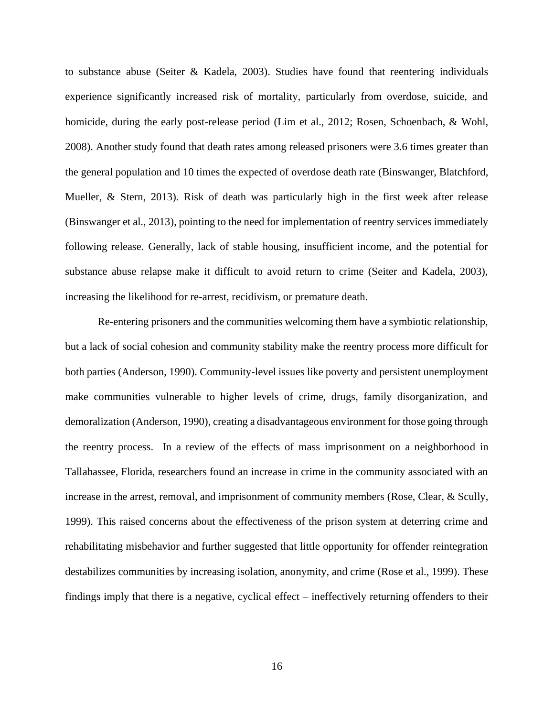to substance abuse (Seiter & Kadela, 2003). Studies have found that reentering individuals experience significantly increased risk of mortality, particularly from overdose, suicide, and homicide, during the early post-release period [\(Lim et al., 2012;](#page-70-4) [Rosen, Schoenbach, & Wohl,](#page-72-5)  [2008\)](#page-72-5). Another study found that death rates among released prisoners were 3.6 times greater than the general population and 10 times the expected of overdose death rate [\(Binswanger, Blatchford,](#page-67-4)  [Mueller, & Stern, 2013\)](#page-67-4). Risk of death was particularly high in the first week after release [\(Binswanger et al., 2013\)](#page-67-4), pointing to the need for implementation of reentry services immediately following release. Generally, lack of stable housing, insufficient income, and the potential for substance abuse relapse make it difficult to avoid return to crime (Seiter and Kadela, 2003), increasing the likelihood for re-arrest, recidivism, or premature death.

Re-entering prisoners and the communities welcoming them have a symbiotic relationship, but a lack of social cohesion and community stability make the reentry process more difficult for both parties [\(Anderson, 1990\)](#page-67-5). Community-level issues like poverty and persistent unemployment make communities vulnerable to higher levels of crime, drugs, family disorganization, and demoralization [\(Anderson, 1990\)](#page-67-5), creating a disadvantageous environment for those going through the reentry process. In a review of the effects of mass imprisonment on a neighborhood in Tallahassee, Florida, researchers found an increase in crime in the community associated with an increase in the arrest, removal, and imprisonment of community members [\(Rose, Clear, & Scully,](#page-72-6)  [1999\)](#page-72-6). This raised concerns about the effectiveness of the prison system at deterring crime and rehabilitating misbehavior and further suggested that little opportunity for offender reintegration destabilizes communities by increasing isolation, anonymity, and crime [\(Rose et al., 1999\)](#page-72-6). These findings imply that there is a negative, cyclical effect – ineffectively returning offenders to their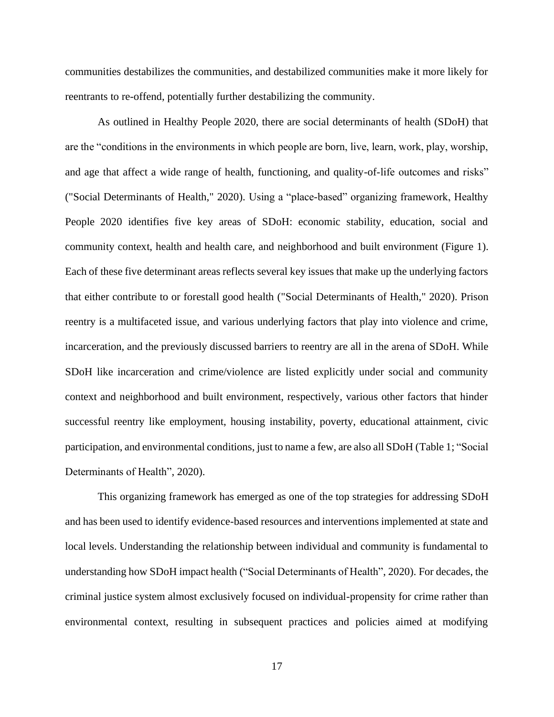communities destabilizes the communities, and destabilized communities make it more likely for reentrants to re-offend, potentially further destabilizing the community.

As outlined in Healthy People 2020, there are social determinants of health (SDoH) that are the "conditions in the environments in which people are born, live, learn, work, play, worship, and age that affect a wide range of health, functioning, and quality-of-life outcomes and risks" [\("Social Determinants of Health," 2020\)](#page-72-7). Using a "place-based" organizing framework, Healthy People 2020 identifies five key areas of SDoH: economic stability, education, social and community context, health and health care, and neighborhood and built environment (Figure 1). Each of these five determinant areas reflects several key issues that make up the underlying factors that either contribute to or forestall good health [\("Social Determinants of Health," 2020\)](#page-72-7). Prison reentry is a multifaceted issue, and various underlying factors that play into violence and crime, incarceration, and the previously discussed barriers to reentry are all in the arena of SDoH. While SDoH like incarceration and crime/violence are listed explicitly under social and community context and neighborhood and built environment, respectively, various other factors that hinder successful reentry like employment, housing instability, poverty, educational attainment, civic participation, and environmental conditions, just to name a few, are also all SDoH (Table 1; "Social Determinants of Health", 2020).

This organizing framework has emerged as one of the top strategies for addressing SDoH and has been used to identify evidence-based resources and interventions implemented at state and local levels. Understanding the relationship between individual and community is fundamental to understanding how SDoH impact health ("Social Determinants of Health", 2020). For decades, the criminal justice system almost exclusively focused on individual-propensity for crime rather than environmental context, resulting in subsequent practices and policies aimed at modifying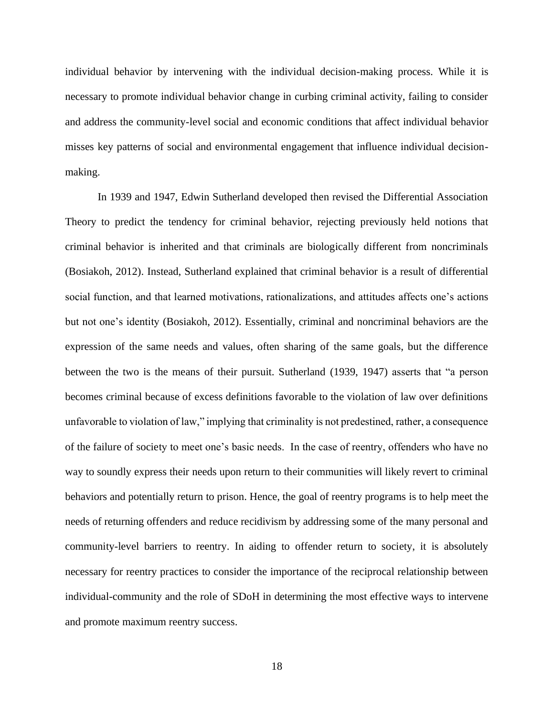individual behavior by intervening with the individual decision-making process. While it is necessary to promote individual behavior change in curbing criminal activity, failing to consider and address the community-level social and economic conditions that affect individual behavior misses key patterns of social and environmental engagement that influence individual decisionmaking.

In 1939 and 1947, Edwin Sutherland developed then revised the Differential Association Theory to predict the tendency for criminal behavior, rejecting previously held notions that criminal behavior is inherited and that criminals are biologically different from noncriminals [\(Bosiakoh, 2012\)](#page-67-6). Instead, Sutherland explained that criminal behavior is a result of differential social function, and that learned motivations, rationalizations, and attitudes affects one's actions but not one's identity [\(Bosiakoh, 2012\)](#page-67-6). Essentially, criminal and noncriminal behaviors are the expression of the same needs and values, often sharing of the same goals, but the difference between the two is the means of their pursuit. Sutherland [\(1939,](#page-73-8) [1947\)](#page-73-9) asserts that "a person becomes criminal because of excess definitions favorable to the violation of law over definitions unfavorable to violation of law," implying that criminality is not predestined, rather, a consequence of the failure of society to meet one's basic needs. In the case of reentry, offenders who have no way to soundly express their needs upon return to their communities will likely revert to criminal behaviors and potentially return to prison. Hence, the goal of reentry programs is to help meet the needs of returning offenders and reduce recidivism by addressing some of the many personal and community-level barriers to reentry. In aiding to offender return to society, it is absolutely necessary for reentry practices to consider the importance of the reciprocal relationship between individual-community and the role of SDoH in determining the most effective ways to intervene and promote maximum reentry success.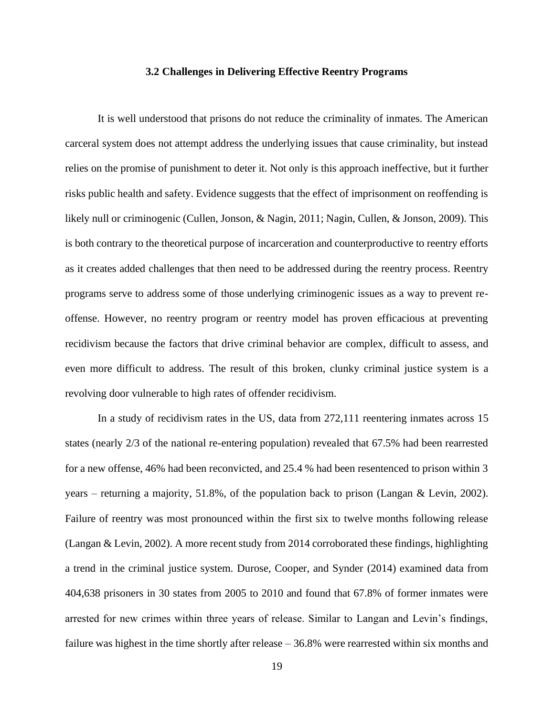#### **3.2 Challenges in Delivering Effective Reentry Programs**

<span id="page-27-0"></span>It is well understood that prisons do not reduce the criminality of inmates. The American carceral system does not attempt address the underlying issues that cause criminality, but instead relies on the promise of punishment to deter it. Not only is this approach ineffective, but it further risks public health and safety. Evidence suggests that the effect of imprisonment on reoffending is likely null or criminogenic [\(Cullen, Jonson, & Nagin, 2011;](#page-68-7) [Nagin, Cullen, & Jonson, 2009\)](#page-71-6). This is both contrary to the theoretical purpose of incarceration and counterproductive to reentry efforts as it creates added challenges that then need to be addressed during the reentry process. Reentry programs serve to address some of those underlying criminogenic issues as a way to prevent reoffense. However, no reentry program or reentry model has proven efficacious at preventing recidivism because the factors that drive criminal behavior are complex, difficult to assess, and even more difficult to address. The result of this broken, clunky criminal justice system is a revolving door vulnerable to high rates of offender recidivism.

In a study of recidivism rates in the US, data from 272,111 reentering inmates across 15 states (nearly 2/3 of the national re-entering population) revealed that 67.5% had been rearrested for a new offense, 46% had been reconvicted, and 25.4 % had been resentenced to prison within 3 years – returning a majority, 51.8%, of the population back to prison [\(Langan & Levin, 2002\)](#page-70-5). Failure of reentry was most pronounced within the first six to twelve months following release [\(Langan & Levin, 2002\)](#page-70-5). A more recent study from 2014 corroborated these findings, highlighting a trend in the criminal justice system. Durose, Cooper, and Synder [\(2014\)](#page-68-1) examined data from 404,638 prisoners in 30 states from 2005 to 2010 and found that 67.8% of former inmates were arrested for new crimes within three years of release. Similar to Langan and Levin's findings, failure was highest in the time shortly after release – 36.8% were rearrested within six months and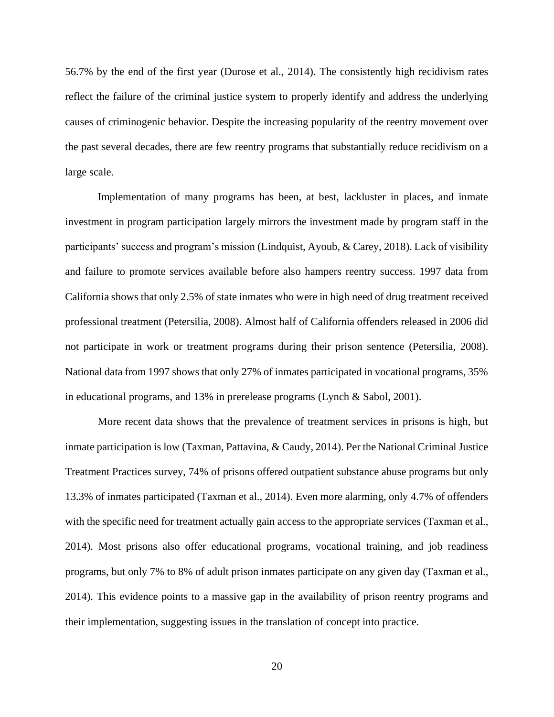56.7% by the end of the first year [\(Durose et al., 2014\)](#page-68-1). The consistently high recidivism rates reflect the failure of the criminal justice system to properly identify and address the underlying causes of criminogenic behavior. Despite the increasing popularity of the reentry movement over the past several decades, there are few reentry programs that substantially reduce recidivism on a large scale.

Implementation of many programs has been, at best, lackluster in places, and inmate investment in program participation largely mirrors the investment made by program staff in the participants' success and program's mission [\(Lindquist, Ayoub, & Carey, 2018\)](#page-70-6). Lack of visibility and failure to promote services available before also hampers reentry success. 1997 data from California shows that only 2.5% of state inmates who were in high need of drug treatment received professional treatment [\(Petersilia, 2008\)](#page-71-7). Almost half of California offenders released in 2006 did not participate in work or treatment programs during their prison sentence [\(Petersilia, 2008\)](#page-71-7). National data from 1997 shows that only 27% of inmates participated in vocational programs, 35% in educational programs, and 13% in prerelease programs [\(Lynch & Sabol, 2001\)](#page-70-7).

More recent data shows that the prevalence of treatment services in prisons is high, but inmate participation is low [\(Taxman, Pattavina, & Caudy, 2014\)](#page-73-10). Per the National Criminal Justice Treatment Practices survey, 74% of prisons offered outpatient substance abuse programs but only 13.3% of inmates participated [\(Taxman et al., 2014\)](#page-73-10). Even more alarming, only 4.7% of offenders with the specific need for treatment actually gain access to the appropriate services (Taxman et al., [2014\)](#page-73-10). Most prisons also offer educational programs, vocational training, and job readiness programs, but only 7% to 8% of adult prison inmates participate on any given day [\(Taxman et al.,](#page-73-10)  [2014\)](#page-73-10). This evidence points to a massive gap in the availability of prison reentry programs and their implementation, suggesting issues in the translation of concept into practice.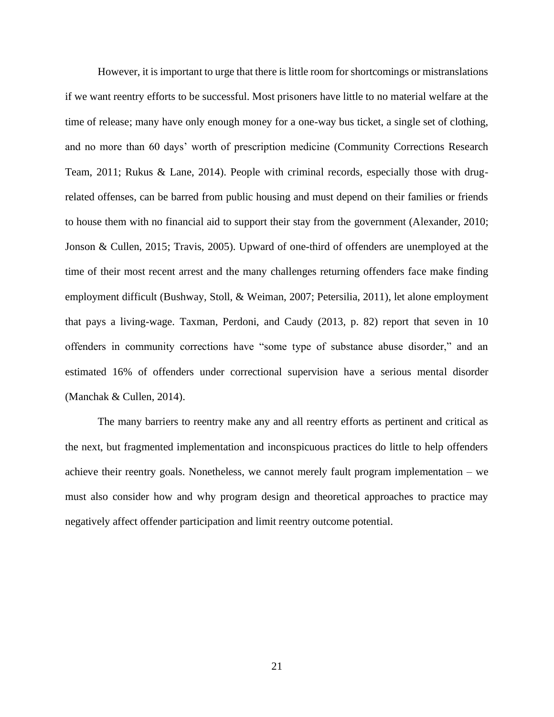However, it is important to urge that there is little room for shortcomings or mistranslations if we want reentry efforts to be successful. Most prisoners have little to no material welfare at the time of release; many have only enough money for a one-way bus ticket, a single set of clothing, and no more than 60 days' worth of prescription medicine [\(Community Corrections Research](#page-68-8)  [Team, 2011;](#page-68-8) [Rukus & Lane, 2014\)](#page-72-8). People with criminal records, especially those with drugrelated offenses, can be barred from public housing and must depend on their families or friends to house them with no financial aid to support their stay from the government [\(Alexander, 2010;](#page-67-7) [Jonson & Cullen, 2015;](#page-69-9) [Travis, 2005\)](#page-73-7). Upward of one-third of offenders are unemployed at the time of their most recent arrest and the many challenges returning offenders face make finding employment difficult [\(Bushway, Stoll, & Weiman, 2007;](#page-68-9) [Petersilia, 2011\)](#page-71-8), let alone employment that pays a living-wage. Taxman, Perdoni, and Caudy [\(2013, p. 82\)](#page-73-11) report that seven in 10 offenders in community corrections have "some type of substance abuse disorder," and an estimated 16% of offenders under correctional supervision have a serious mental disorder [\(Manchak & Cullen, 2014\)](#page-70-8).

The many barriers to reentry make any and all reentry efforts as pertinent and critical as the next, but fragmented implementation and inconspicuous practices do little to help offenders achieve their reentry goals. Nonetheless, we cannot merely fault program implementation – we must also consider how and why program design and theoretical approaches to practice may negatively affect offender participation and limit reentry outcome potential.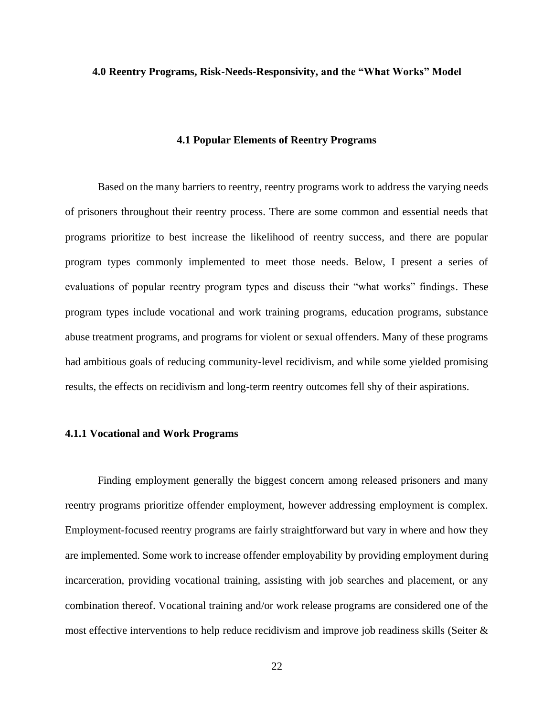#### <span id="page-30-0"></span>**4.0 Reentry Programs, Risk-Needs-Responsivity, and the "What Works" Model**

#### **4.1 Popular Elements of Reentry Programs**

<span id="page-30-1"></span>Based on the many barriers to reentry, reentry programs work to address the varying needs of prisoners throughout their reentry process. There are some common and essential needs that programs prioritize to best increase the likelihood of reentry success, and there are popular program types commonly implemented to meet those needs. Below, I present a series of evaluations of popular reentry program types and discuss their "what works" findings. These program types include vocational and work training programs, education programs, substance abuse treatment programs, and programs for violent or sexual offenders. Many of these programs had ambitious goals of reducing community-level recidivism, and while some yielded promising results, the effects on recidivism and long-term reentry outcomes fell shy of their aspirations.

#### <span id="page-30-2"></span>**4.1.1 Vocational and Work Programs**

Finding employment generally the biggest concern among released prisoners and many reentry programs prioritize offender employment, however addressing employment is complex. Employment-focused reentry programs are fairly straightforward but vary in where and how they are implemented. Some work to increase offender employability by providing employment during incarceration, providing vocational training, assisting with job searches and placement, or any combination thereof. Vocational training and/or work release programs are considered one of the most effective interventions to help reduce recidivism and improve job readiness skills (Seiter  $\&$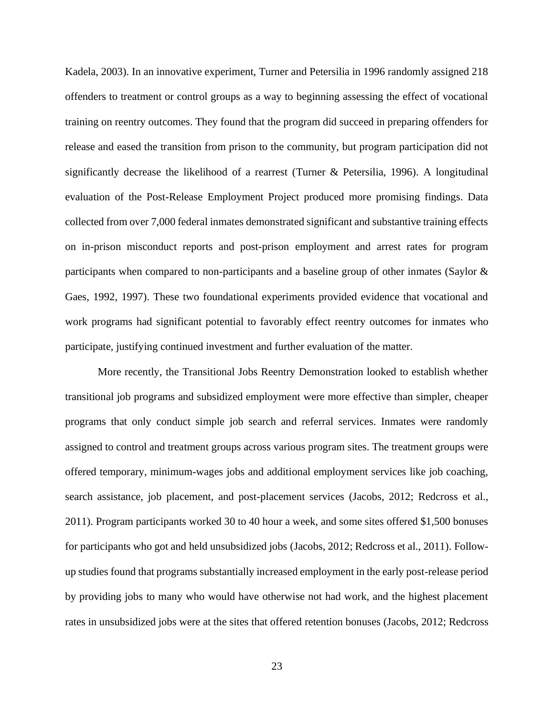Kadela, 2003). In an innovative experiment, Turner and Petersilia in 1996 randomly assigned 218 offenders to treatment or control groups as a way to beginning assessing the effect of vocational training on reentry outcomes. They found that the program did succeed in preparing offenders for release and eased the transition from prison to the community, but program participation did not significantly decrease the likelihood of a rearrest [\(Turner & Petersilia, 1996\)](#page-73-12). A longitudinal evaluation of the Post-Release Employment Project produced more promising findings. Data collected from over 7,000 federal inmates demonstrated significant and substantive training effects on in-prison misconduct reports and post-prison employment and arrest rates for program participants when compared to non-participants and a baseline group of other inmates [\(Saylor &](#page-72-9)  [Gaes, 1992,](#page-72-9) [1997\)](#page-72-10). These two foundational experiments provided evidence that vocational and work programs had significant potential to favorably effect reentry outcomes for inmates who participate, justifying continued investment and further evaluation of the matter.

More recently, the Transitional Jobs Reentry Demonstration looked to establish whether transitional job programs and subsidized employment were more effective than simpler, cheaper programs that only conduct simple job search and referral services. Inmates were randomly assigned to control and treatment groups across various program sites. The treatment groups were offered temporary, minimum-wages jobs and additional employment services like job coaching, search assistance, job placement, and post-placement services [\(Jacobs, 2012;](#page-69-11) [Redcross et al.,](#page-71-9)  [2011\)](#page-71-9). Program participants worked 30 to 40 hour a week, and some sites offered \$1,500 bonuses for participants who got and held unsubsidized jobs [\(Jacobs, 2012;](#page-69-11) [Redcross et al., 2011\)](#page-71-9). Followup studies found that programs substantially increased employment in the early post-release period by providing jobs to many who would have otherwise not had work, and the highest placement rates in unsubsidized jobs were at the sites that offered retention bonuses [\(Jacobs, 2012;](#page-69-11) [Redcross](#page-71-9)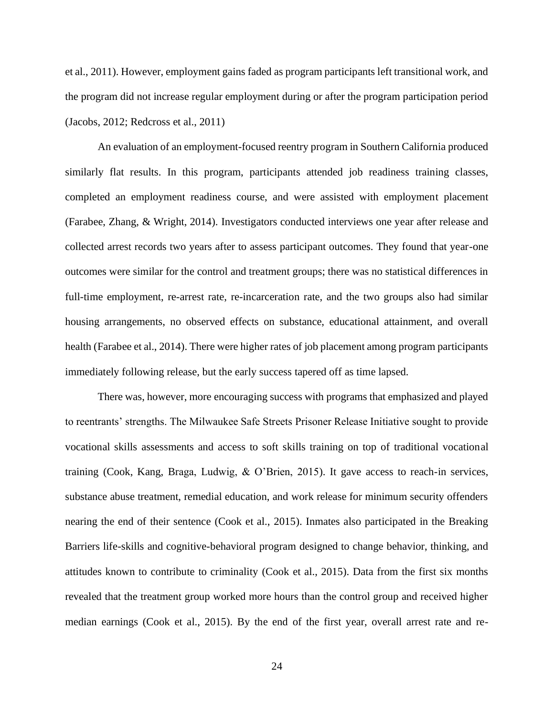[et al., 2011\)](#page-71-9). However, employment gains faded as program participants left transitional work, and the program did not increase regular employment during or after the program participation period [\(Jacobs, 2012;](#page-69-11) [Redcross et al., 2011\)](#page-71-9)

An evaluation of an employment-focused reentry program in Southern California produced similarly flat results. In this program, participants attended job readiness training classes, completed an employment readiness course, and were assisted with employment placement [\(Farabee, Zhang, & Wright, 2014\)](#page-68-10). Investigators conducted interviews one year after release and collected arrest records two years after to assess participant outcomes. They found that year-one outcomes were similar for the control and treatment groups; there was no statistical differences in full-time employment, re-arrest rate, re-incarceration rate, and the two groups also had similar housing arrangements, no observed effects on substance, educational attainment, and overall health [\(Farabee et al., 2014\)](#page-68-10). There were higher rates of job placement among program participants immediately following release, but the early success tapered off as time lapsed.

There was, however, more encouraging success with programs that emphasized and played to reentrants' strengths. The Milwaukee Safe Streets Prisoner Release Initiative sought to provide vocational skills assessments and access to soft skills training on top of traditional vocational training [\(Cook, Kang, Braga, Ludwig, & O'Brien, 2015\)](#page-68-11). It gave access to reach-in services, substance abuse treatment, remedial education, and work release for minimum security offenders nearing the end of their sentence [\(Cook et al., 2015\)](#page-68-11). Inmates also participated in the Breaking Barriers life-skills and cognitive-behavioral program designed to change behavior, thinking, and attitudes known to contribute to criminality [\(Cook et al., 2015\)](#page-68-11). Data from the first six months revealed that the treatment group worked more hours than the control group and received higher median earnings [\(Cook et al., 2015\)](#page-68-11). By the end of the first year, overall arrest rate and re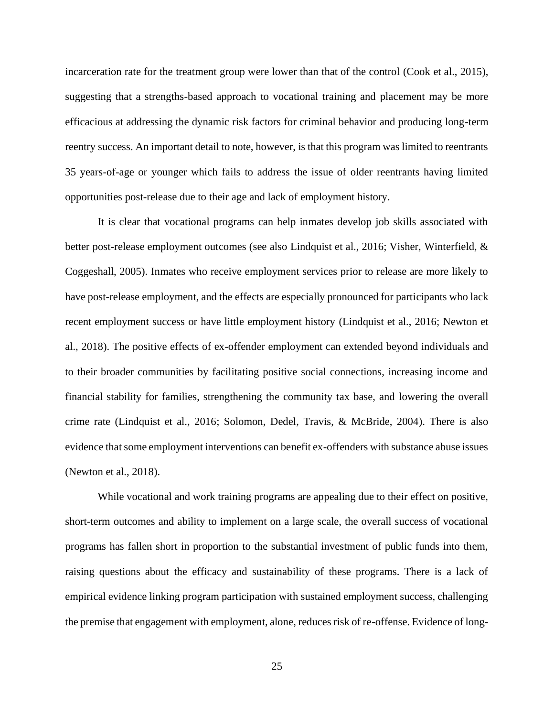incarceration rate for the treatment group were lower than that of the control [\(Cook et al., 2015\)](#page-68-11), suggesting that a strengths-based approach to vocational training and placement may be more efficacious at addressing the dynamic risk factors for criminal behavior and producing long-term reentry success. An important detail to note, however, is that this program was limited to reentrants 35 years-of-age or younger which fails to address the issue of older reentrants having limited opportunities post-release due to their age and lack of employment history.

It is clear that vocational programs can help inmates develop job skills associated with better post-release employment outcomes (see also [Lindquist et al., 2016;](#page-70-9) [Visher, Winterfield, &](#page-73-13)  [Coggeshall, 2005\)](#page-73-13). Inmates who receive employment services prior to release are more likely to have post-release employment, and the effects are especially pronounced for participants who lack recent employment success or have little employment history [\(Lindquist et al., 2016;](#page-70-9) [Newton et](#page-71-10)  [al., 2018\)](#page-71-10). The positive effects of ex-offender employment can extended beyond individuals and to their broader communities by facilitating positive social connections, increasing income and financial stability for families, strengthening the community tax base, and lowering the overall crime rate [\(Lindquist et al., 2016;](#page-70-9) [Solomon, Dedel, Travis, & McBride, 2004\)](#page-72-11). There is also evidence that some employment interventions can benefit ex-offenders with substance abuse issues [\(Newton et al., 2018\)](#page-71-10).

While vocational and work training programs are appealing due to their effect on positive, short-term outcomes and ability to implement on a large scale, the overall success of vocational programs has fallen short in proportion to the substantial investment of public funds into them, raising questions about the efficacy and sustainability of these programs. There is a lack of empirical evidence linking program participation with sustained employment success, challenging the premise that engagement with employment, alone, reduces risk of re-offense. Evidence of long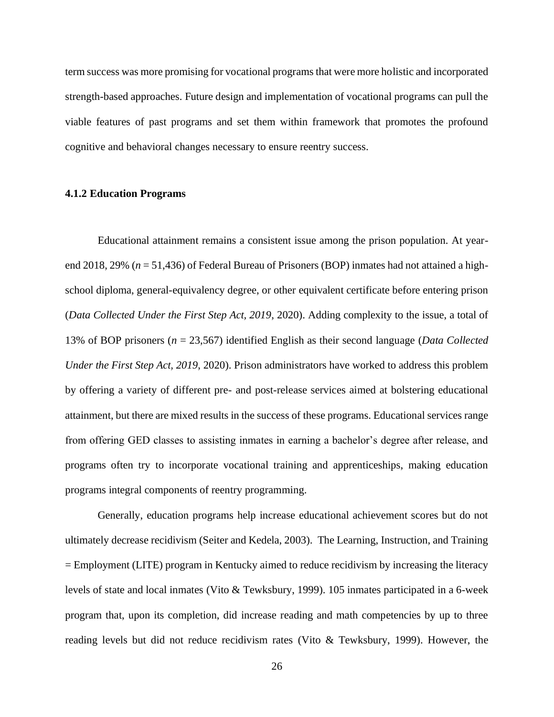term success was more promising for vocational programs that were more holistic and incorporated strength-based approaches. Future design and implementation of vocational programs can pull the viable features of past programs and set them within framework that promotes the profound cognitive and behavioral changes necessary to ensure reentry success.

#### <span id="page-34-0"></span>**4.1.2 Education Programs**

Educational attainment remains a consistent issue among the prison population. At yearend 2018, 29% (*n* = 51,436) of Federal Bureau of Prisoners (BOP) inmates had not attained a highschool diploma, general-equivalency degree, or other equivalent certificate before entering prison (*[Data Collected Under the First Step Act, 2019](#page-68-12)*, 2020). Adding complexity to the issue, a total of 13% of BOP prisoners (*n* = 23,567) identified English as their second language (*[Data Collected](#page-68-12)  [Under the First Step Act, 2019](#page-68-12)*, 2020). Prison administrators have worked to address this problem by offering a variety of different pre- and post-release services aimed at bolstering educational attainment, but there are mixed results in the success of these programs. Educational services range from offering GED classes to assisting inmates in earning a bachelor's degree after release, and programs often try to incorporate vocational training and apprenticeships, making education programs integral components of reentry programming.

Generally, education programs help increase educational achievement scores but do not ultimately decrease recidivism (Seiter and Kedela, 2003). The Learning, Instruction, and Training = Employment (LITE) program in Kentucky aimed to reduce recidivism by increasing the literacy levels of state and local inmates [\(Vito & Tewksbury, 1999\)](#page-73-14). 105 inmates participated in a 6-week program that, upon its completion, did increase reading and math competencies by up to three reading levels but did not reduce recidivism rates [\(Vito & Tewksbury, 1999\)](#page-73-14). However, the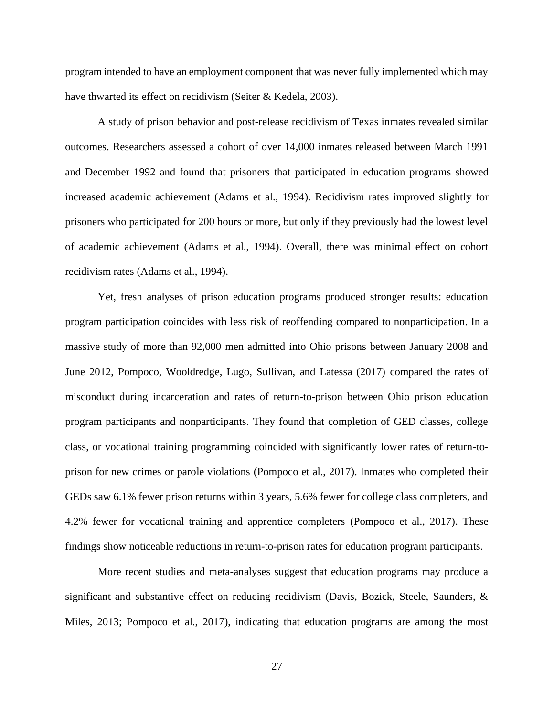program intended to have an employment component that was never fully implemented which may have thwarted its effect on recidivism (Seiter & Kedela, 2003).

A study of prison behavior and post-release recidivism of Texas inmates revealed similar outcomes. Researchers assessed a cohort of over 14,000 inmates released between March 1991 and December 1992 and found that prisoners that participated in education programs showed increased academic achievement [\(Adams et al., 1994\)](#page-67-8). Recidivism rates improved slightly for prisoners who participated for 200 hours or more, but only if they previously had the lowest level of academic achievement [\(Adams et al., 1994\)](#page-67-8). Overall, there was minimal effect on cohort recidivism rates [\(Adams et al., 1994\)](#page-67-8).

Yet, fresh analyses of prison education programs produced stronger results: education program participation coincides with less risk of reoffending compared to nonparticipation. In a massive study of more than 92,000 men admitted into Ohio prisons between January 2008 and June 2012, [Pompoco, Wooldredge, Lugo, Sullivan, and Latessa \(2017\)](#page-71-11) compared the rates of misconduct during incarceration and rates of return-to-prison between Ohio prison education program participants and nonparticipants. They found that completion of GED classes, college class, or vocational training programming coincided with significantly lower rates of return-toprison for new crimes or parole violations [\(Pompoco et al., 2017\)](#page-71-11). Inmates who completed their GEDs saw 6.1% fewer prison returns within 3 years, 5.6% fewer for college class completers, and 4.2% fewer for vocational training and apprentice completers [\(Pompoco et al., 2017\)](#page-71-11). These findings show noticeable reductions in return-to-prison rates for education program participants.

More recent studies and meta-analyses suggest that education programs may produce a significant and substantive effect on reducing recidivism [\(Davis, Bozick, Steele, Saunders, &](#page-68-13)  [Miles, 2013;](#page-68-13) [Pompoco et al., 2017\)](#page-71-11), indicating that education programs are among the most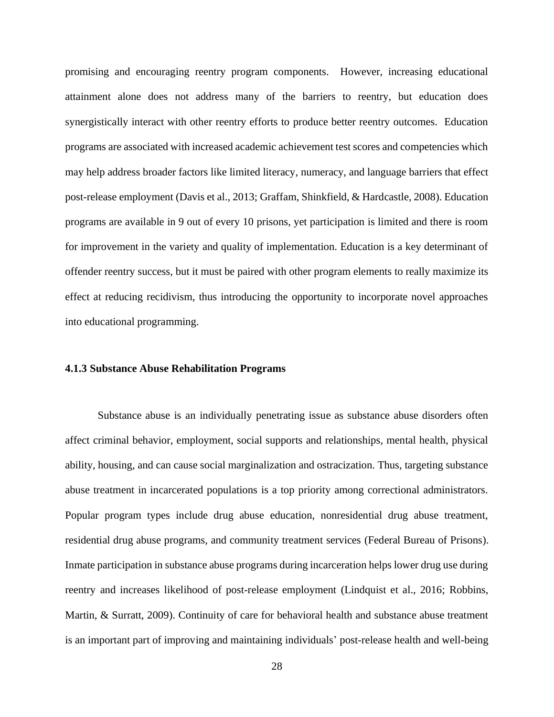promising and encouraging reentry program components. However, increasing educational attainment alone does not address many of the barriers to reentry, but education does synergistically interact with other reentry efforts to produce better reentry outcomes. Education programs are associated with increased academic achievement test scores and competencies which may help address broader factors like limited literacy, numeracy, and language barriers that effect post-release employment [\(Davis et al., 2013;](#page-68-0) [Graffam, Shinkfield, & Hardcastle, 2008\)](#page-69-0). Education programs are available in 9 out of every 10 prisons, yet participation is limited and there is room for improvement in the variety and quality of implementation. Education is a key determinant of offender reentry success, but it must be paired with other program elements to really maximize its effect at reducing recidivism, thus introducing the opportunity to incorporate novel approaches into educational programming.

#### **4.1.3 Substance Abuse Rehabilitation Programs**

Substance abuse is an individually penetrating issue as substance abuse disorders often affect criminal behavior, employment, social supports and relationships, mental health, physical ability, housing, and can cause social marginalization and ostracization. Thus, targeting substance abuse treatment in incarcerated populations is a top priority among correctional administrators. Popular program types include drug abuse education, nonresidential drug abuse treatment, residential drug abuse programs, and community treatment services [\(Federal Bureau of Prisons\)](#page-69-1). Inmate participation in substance abuse programs during incarceration helps lower drug use during reentry and increases likelihood of post-release employment [\(Lindquist et al., 2016;](#page-70-0) [Robbins,](#page-72-0)  [Martin, & Surratt, 2009\)](#page-72-0). Continuity of care for behavioral health and substance abuse treatment is an important part of improving and maintaining individuals' post-release health and well-being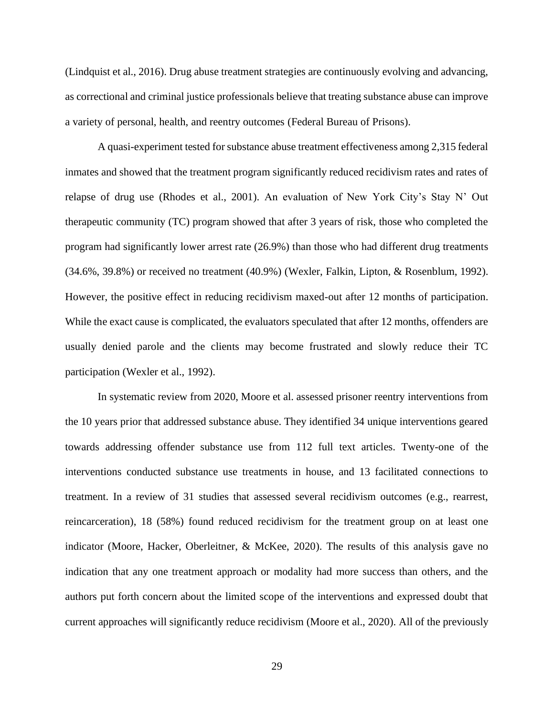[\(Lindquist et al., 2016\)](#page-70-0). Drug abuse treatment strategies are continuously evolving and advancing, as correctional and criminal justice professionals believe that treating substance abuse can improve a variety of personal, health, and reentry outcomes [\(Federal Bureau of Prisons\)](#page-69-1).

A quasi-experiment tested for substance abuse treatment effectiveness among 2,315 federal inmates and showed that the treatment program significantly reduced recidivism rates and rates of relapse of drug use [\(Rhodes et al., 2001\)](#page-71-0). An evaluation of New York City's Stay N' Out therapeutic community (TC) program showed that after 3 years of risk, those who completed the program had significantly lower arrest rate (26.9%) than those who had different drug treatments (34.6%, 39.8%) or received no treatment (40.9%) [\(Wexler, Falkin, Lipton, & Rosenblum, 1992\)](#page-74-0). However, the positive effect in reducing recidivism maxed-out after 12 months of participation. While the exact cause is complicated, the evaluators speculated that after 12 months, offenders are usually denied parole and the clients may become frustrated and slowly reduce their TC participation [\(Wexler et al., 1992\)](#page-74-0).

In systematic review from 2020, Moore et al. assessed prisoner reentry interventions from the 10 years prior that addressed substance abuse. They identified 34 unique interventions geared towards addressing offender substance use from 112 full text articles. Twenty-one of the interventions conducted substance use treatments in house, and 13 facilitated connections to treatment. In a review of 31 studies that assessed several recidivism outcomes (e.g., rearrest, reincarceration), 18 (58%) found reduced recidivism for the treatment group on at least one indicator [\(Moore, Hacker, Oberleitner, & McKee, 2020\)](#page-71-1). The results of this analysis gave no indication that any one treatment approach or modality had more success than others, and the authors put forth concern about the limited scope of the interventions and expressed doubt that current approaches will significantly reduce recidivism [\(Moore et al., 2020\)](#page-71-1). All of the previously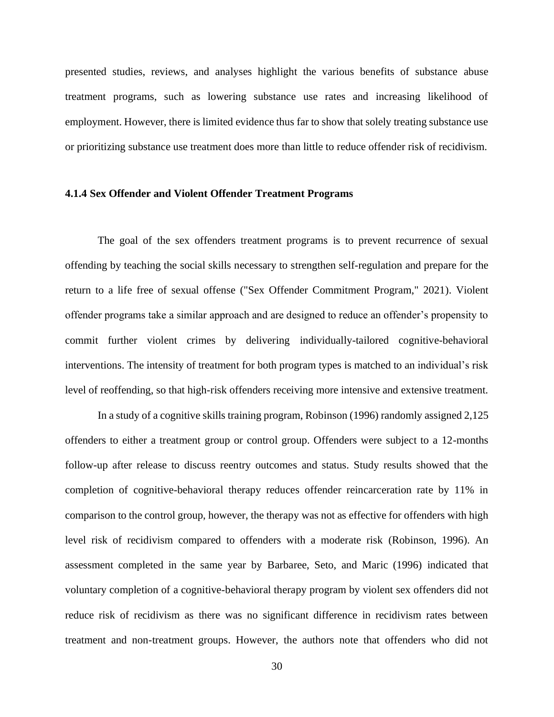presented studies, reviews, and analyses highlight the various benefits of substance abuse treatment programs, such as lowering substance use rates and increasing likelihood of employment. However, there is limited evidence thus far to show that solely treating substance use or prioritizing substance use treatment does more than little to reduce offender risk of recidivism.

#### **4.1.4 Sex Offender and Violent Offender Treatment Programs**

The goal of the sex offenders treatment programs is to prevent recurrence of sexual offending by teaching the social skills necessary to strengthen self-regulation and prepare for the return to a life free of sexual offense [\("Sex Offender Commitment Program," 2021\)](#page-72-1). Violent offender programs take a similar approach and are designed to reduce an offender's propensity to commit further violent crimes by delivering individually-tailored cognitive-behavioral interventions. The intensity of treatment for both program types is matched to an individual's risk level of reoffending, so that high-risk offenders receiving more intensive and extensive treatment.

In a study of a cognitive skills training program, [Robinson \(1996\)](#page-72-2) randomly assigned 2,125 offenders to either a treatment group or control group. Offenders were subject to a 12-months follow-up after release to discuss reentry outcomes and status. Study results showed that the completion of cognitive-behavioral therapy reduces offender reincarceration rate by 11% in comparison to the control group, however, the therapy was not as effective for offenders with high level risk of recidivism compared to offenders with a moderate risk [\(Robinson, 1996\)](#page-72-2). An assessment completed in the same year by [Barbaree, Seto, and Maric \(1996\)](#page-67-0) indicated that voluntary completion of a cognitive-behavioral therapy program by violent sex offenders did not reduce risk of recidivism as there was no significant difference in recidivism rates between treatment and non-treatment groups. However, the authors note that offenders who did not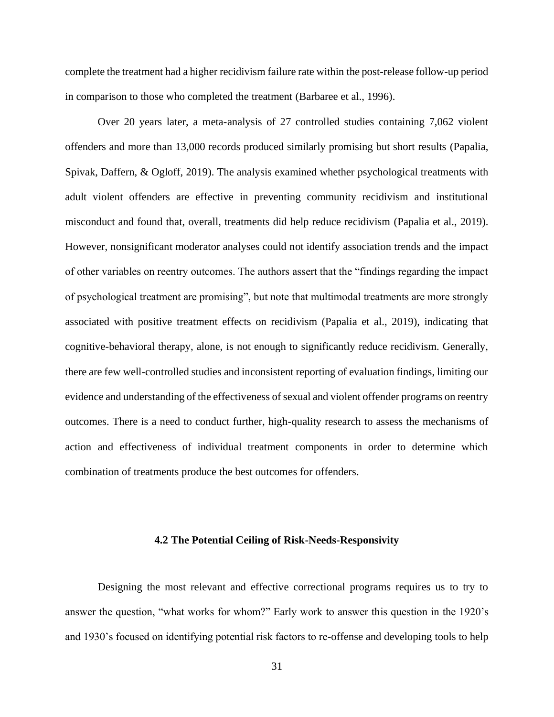complete the treatment had a higher recidivism failure rate within the post-release follow-up period in comparison to those who completed the treatment [\(Barbaree et al., 1996\)](#page-67-0).

Over 20 years later, a meta-analysis of 27 controlled studies containing 7,062 violent offenders and more than 13,000 records produced similarly promising but short results [\(Papalia,](#page-71-2)  [Spivak, Daffern, & Ogloff, 2019\)](#page-71-2). The analysis examined whether psychological treatments with adult violent offenders are effective in preventing community recidivism and institutional misconduct and found that, overall, treatments did help reduce recidivism [\(Papalia et al., 2019\)](#page-71-2). However, nonsignificant moderator analyses could not identify association trends and the impact of other variables on reentry outcomes. The authors assert that the "findings regarding the impact of psychological treatment are promising", but note that multimodal treatments are more strongly associated with positive treatment effects on recidivism [\(Papalia et al., 2019\)](#page-71-2), indicating that cognitive-behavioral therapy, alone, is not enough to significantly reduce recidivism. Generally, there are few well-controlled studies and inconsistent reporting of evaluation findings, limiting our evidence and understanding of the effectiveness of sexual and violent offender programs on reentry outcomes. There is a need to conduct further, high-quality research to assess the mechanisms of action and effectiveness of individual treatment components in order to determine which combination of treatments produce the best outcomes for offenders.

#### **4.2 The Potential Ceiling of Risk-Needs-Responsivity**

Designing the most relevant and effective correctional programs requires us to try to answer the question, "what works for whom?" Early work to answer this question in the 1920's and 1930's focused on identifying potential risk factors to re-offense and developing tools to help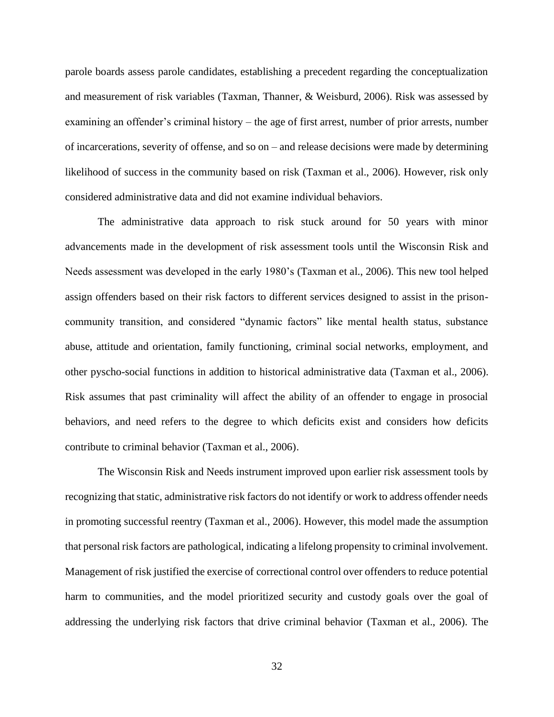parole boards assess parole candidates, establishing a precedent regarding the conceptualization and measurement of risk variables [\(Taxman, Thanner, & Weisburd, 2006\)](#page-73-0). Risk was assessed by examining an offender's criminal history – the age of first arrest, number of prior arrests, number of incarcerations, severity of offense, and so on – and release decisions were made by determining likelihood of success in the community based on risk [\(Taxman et al., 2006\)](#page-73-0). However, risk only considered administrative data and did not examine individual behaviors.

The administrative data approach to risk stuck around for 50 years with minor advancements made in the development of risk assessment tools until the Wisconsin Risk and Needs assessment was developed in the early 1980's [\(Taxman et al., 2006\)](#page-73-0). This new tool helped assign offenders based on their risk factors to different services designed to assist in the prisoncommunity transition, and considered "dynamic factors" like mental health status, substance abuse, attitude and orientation, family functioning, criminal social networks, employment, and other pyscho-social functions in addition to historical administrative data [\(Taxman et al., 2006\)](#page-73-0). Risk assumes that past criminality will affect the ability of an offender to engage in prosocial behaviors, and need refers to the degree to which deficits exist and considers how deficits contribute to criminal behavior [\(Taxman et al., 2006\)](#page-73-0).

The Wisconsin Risk and Needs instrument improved upon earlier risk assessment tools by recognizing that static, administrative risk factors do not identify or work to address offender needs in promoting successful reentry [\(Taxman et al., 2006\)](#page-73-0). However, this model made the assumption that personal risk factors are pathological, indicating a lifelong propensity to criminal involvement. Management of risk justified the exercise of correctional control over offenders to reduce potential harm to communities, and the model prioritized security and custody goals over the goal of addressing the underlying risk factors that drive criminal behavior [\(Taxman et al., 2006\)](#page-73-0). The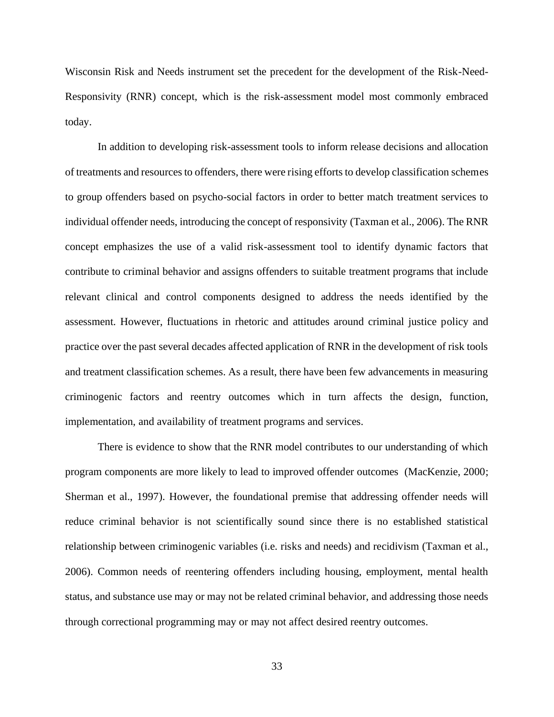Wisconsin Risk and Needs instrument set the precedent for the development of the Risk-Need-Responsivity (RNR) concept, which is the risk-assessment model most commonly embraced today.

In addition to developing risk-assessment tools to inform release decisions and allocation of treatments and resources to offenders, there were rising efforts to develop classification schemes to group offenders based on psycho-social factors in order to better match treatment services to individual offender needs, introducing the concept of responsivity [\(Taxman et al., 2006\)](#page-73-0). The RNR concept emphasizes the use of a valid risk-assessment tool to identify dynamic factors that contribute to criminal behavior and assigns offenders to suitable treatment programs that include relevant clinical and control components designed to address the needs identified by the assessment. However, fluctuations in rhetoric and attitudes around criminal justice policy and practice over the past several decades affected application of RNR in the development of risk tools and treatment classification schemes. As a result, there have been few advancements in measuring criminogenic factors and reentry outcomes which in turn affects the design, function, implementation, and availability of treatment programs and services.

There is evidence to show that the RNR model contributes to our understanding of which program components are more likely to lead to improved offender outcomes [\(MacKenzie, 2000;](#page-70-1) [Sherman et al., 1997\)](#page-72-3). However, the foundational premise that addressing offender needs will reduce criminal behavior is not scientifically sound since there is no established statistical relationship between criminogenic variables (i.e. risks and needs) and recidivism [\(Taxman et al.,](#page-73-0)  [2006\)](#page-73-0). Common needs of reentering offenders including housing, employment, mental health status, and substance use may or may not be related criminal behavior, and addressing those needs through correctional programming may or may not affect desired reentry outcomes.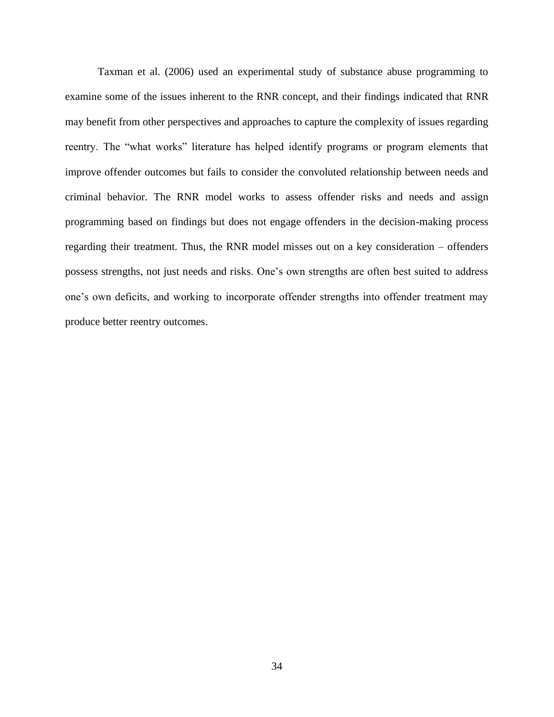[Taxman et al. \(2006\)](#page-73-0) used an experimental study of substance abuse programming to examine some of the issues inherent to the RNR concept, and their findings indicated that RNR may benefit from other perspectives and approaches to capture the complexity of issues regarding reentry. The "what works" literature has helped identify programs or program elements that improve offender outcomes but fails to consider the convoluted relationship between needs and criminal behavior. The RNR model works to assess offender risks and needs and assign programming based on findings but does not engage offenders in the decision-making process regarding their treatment. Thus, the RNR model misses out on a key consideration – offenders possess strengths, not just needs and risks. One's own strengths are often best suited to address one's own deficits, and working to incorporate offender strengths into offender treatment may produce better reentry outcomes.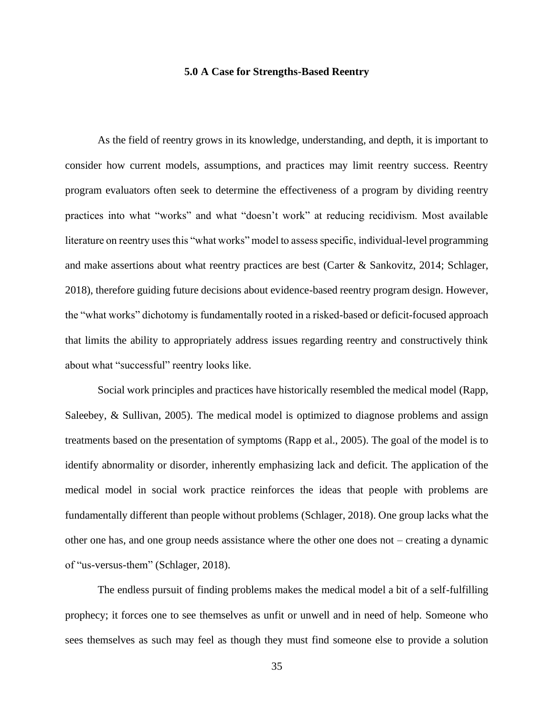#### **5.0 A Case for Strengths-Based Reentry**

As the field of reentry grows in its knowledge, understanding, and depth, it is important to consider how current models, assumptions, and practices may limit reentry success. Reentry program evaluators often seek to determine the effectiveness of a program by dividing reentry practices into what "works" and what "doesn't work" at reducing recidivism. Most available literature on reentry uses this "what works" model to assess specific, individual-level programming and make assertions about what reentry practices are best [\(Carter & Sankovitz, 2014;](#page-68-1) [Schlager,](#page-72-4)  [2018\)](#page-72-4), therefore guiding future decisions about evidence-based reentry program design. However, the "what works" dichotomy is fundamentally rooted in a risked-based or deficit-focused approach that limits the ability to appropriately address issues regarding reentry and constructively think about what "successful" reentry looks like.

Social work principles and practices have historically resembled the medical model [\(Rapp,](#page-71-3)  [Saleebey, & Sullivan, 2005\)](#page-71-3). The medical model is optimized to diagnose problems and assign treatments based on the presentation of symptoms [\(Rapp et al., 2005\)](#page-71-3). The goal of the model is to identify abnormality or disorder, inherently emphasizing lack and deficit. The application of the medical model in social work practice reinforces the ideas that people with problems are fundamentally different than people without problems [\(Schlager, 2018\)](#page-72-4). One group lacks what the other one has, and one group needs assistance where the other one does not – creating a dynamic of "us-versus-them" [\(Schlager, 2018\)](#page-72-4).

The endless pursuit of finding problems makes the medical model a bit of a self-fulfilling prophecy; it forces one to see themselves as unfit or unwell and in need of help. Someone who sees themselves as such may feel as though they must find someone else to provide a solution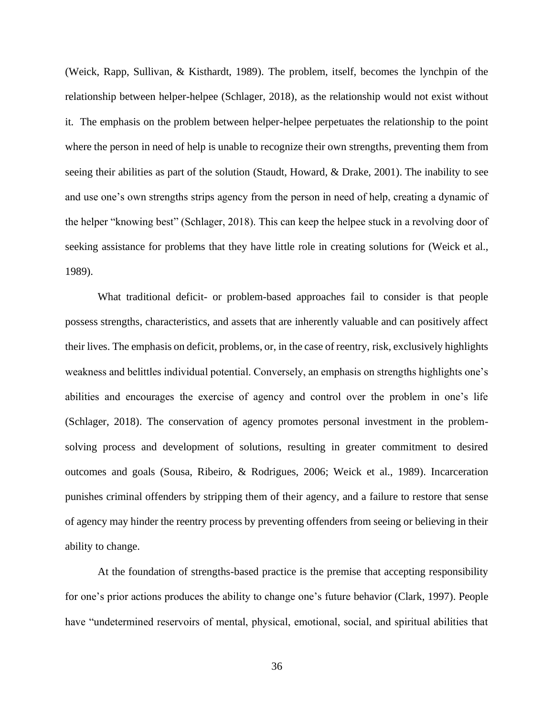[\(Weick, Rapp, Sullivan, & Kisthardt, 1989\)](#page-74-1). The problem, itself, becomes the lynchpin of the relationship between helper-helpee [\(Schlager, 2018\)](#page-72-4), as the relationship would not exist without it. The emphasis on the problem between helper-helpee perpetuates the relationship to the point where the person in need of help is unable to recognize their own strengths, preventing them from seeing their abilities as part of the solution [\(Staudt, Howard, & Drake, 2001\)](#page-73-1). The inability to see and use one's own strengths strips agency from the person in need of help, creating a dynamic of the helper "knowing best" (Schlager, 2018). This can keep the helpee stuck in a revolving door of seeking assistance for problems that they have little role in creating solutions for [\(Weick et al.,](#page-74-1)  [1989\)](#page-74-1).

What traditional deficit- or problem-based approaches fail to consider is that people possess strengths, characteristics, and assets that are inherently valuable and can positively affect their lives. The emphasis on deficit, problems, or, in the case of reentry, risk, exclusively highlights weakness and belittles individual potential. Conversely, an emphasis on strengths highlights one's abilities and encourages the exercise of agency and control over the problem in one's life [\(Schlager, 2018\)](#page-72-4). The conservation of agency promotes personal investment in the problemsolving process and development of solutions, resulting in greater commitment to desired outcomes and goals [\(Sousa, Ribeiro, & Rodrigues, 2006;](#page-72-5) [Weick et al., 1989\)](#page-74-1). Incarceration punishes criminal offenders by stripping them of their agency, and a failure to restore that sense of agency may hinder the reentry process by preventing offenders from seeing or believing in their ability to change.

At the foundation of strengths-based practice is the premise that accepting responsibility for one's prior actions produces the ability to change one's future behavior [\(Clark, 1997\)](#page-68-2). People have "undetermined reservoirs of mental, physical, emotional, social, and spiritual abilities that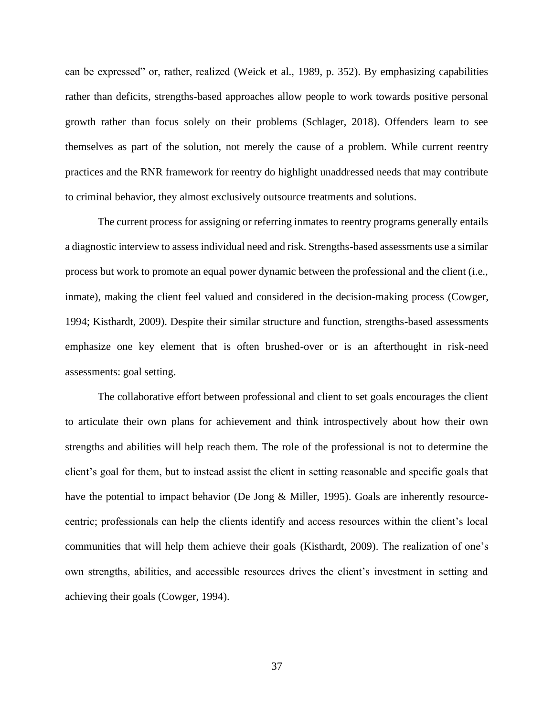can be expressed" or, rather, realized [\(Weick et al., 1989, p. 352\)](#page-74-1). By emphasizing capabilities rather than deficits, strengths-based approaches allow people to work towards positive personal growth rather than focus solely on their problems (Schlager, 2018). Offenders learn to see themselves as part of the solution, not merely the cause of a problem. While current reentry practices and the RNR framework for reentry do highlight unaddressed needs that may contribute to criminal behavior, they almost exclusively outsource treatments and solutions.

The current process for assigning or referring inmates to reentry programs generally entails a diagnostic interview to assess individual need and risk. Strengths-based assessments use a similar process but work to promote an equal power dynamic between the professional and the client (i.e., inmate), making the client feel valued and considered in the decision-making process [\(Cowger,](#page-68-3)  [1994;](#page-68-3) [Kisthardt, 2009\)](#page-69-2). Despite their similar structure and function, strengths-based assessments emphasize one key element that is often brushed-over or is an afterthought in risk-need assessments: goal setting.

The collaborative effort between professional and client to set goals encourages the client to articulate their own plans for achievement and think introspectively about how their own strengths and abilities will help reach them. The role of the professional is not to determine the client's goal for them, but to instead assist the client in setting reasonable and specific goals that have the potential to impact behavior [\(De Jong & Miller, 1995\)](#page-68-4). Goals are inherently resourcecentric; professionals can help the clients identify and access resources within the client's local communities that will help them achieve their goals [\(Kisthardt, 2009\)](#page-69-3). The realization of one's own strengths, abilities, and accessible resources drives the client's investment in setting and achieving their goals [\(Cowger, 1994\)](#page-68-5).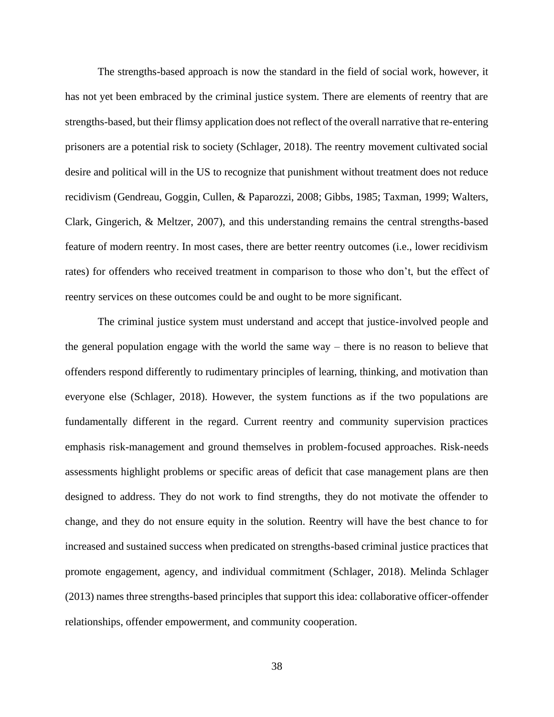The strengths-based approach is now the standard in the field of social work, however, it has not yet been embraced by the criminal justice system. There are elements of reentry that are strengths-based, but their flimsy application does not reflect of the overall narrative that re-entering prisoners are a potential risk to society (Schlager, 2018). The reentry movement cultivated social desire and political will in the US to recognize that punishment without treatment does not reduce recidivism [\(Gendreau, Goggin, Cullen, & Paparozzi, 2008;](#page-69-4) [Gibbs, 1985;](#page-69-5) [Taxman, 1999;](#page-73-2) [Walters,](#page-74-2)  [Clark, Gingerich, & Meltzer, 2007\)](#page-74-2), and this understanding remains the central strengths-based feature of modern reentry. In most cases, there are better reentry outcomes (i.e., lower recidivism rates) for offenders who received treatment in comparison to those who don't, but the effect of reentry services on these outcomes could be and ought to be more significant.

The criminal justice system must understand and accept that justice-involved people and the general population engage with the world the same way – there is no reason to believe that offenders respond differently to rudimentary principles of learning, thinking, and motivation than everyone else (Schlager, 2018). However, the system functions as if the two populations are fundamentally different in the regard. Current reentry and community supervision practices emphasis risk-management and ground themselves in problem-focused approaches. Risk-needs assessments highlight problems or specific areas of deficit that case management plans are then designed to address. They do not work to find strengths, they do not motivate the offender to change, and they do not ensure equity in the solution. Reentry will have the best chance to for increased and sustained success when predicated on strengths-based criminal justice practices that promote engagement, agency, and individual commitment (Schlager, 2018). [Melinda Schlager](#page-72-6)  (2013) names three strengths-based principles that support this idea: collaborative officer-offender relationships, offender empowerment, and community cooperation.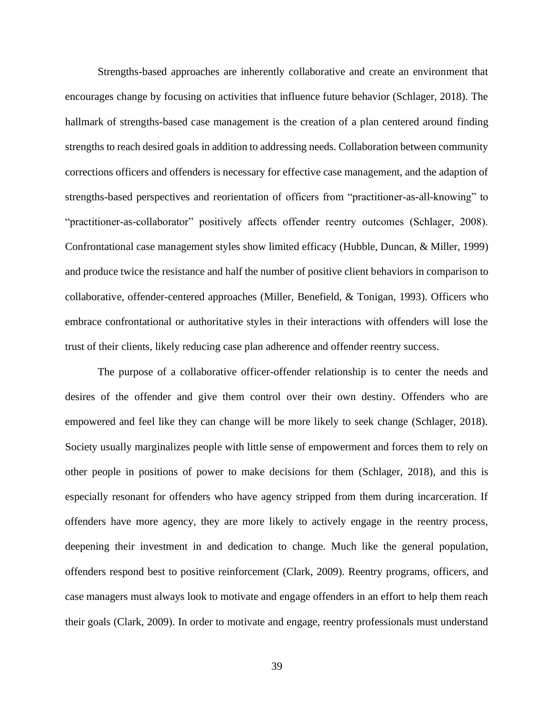Strengths-based approaches are inherently collaborative and create an environment that encourages change by focusing on activities that influence future behavior (Schlager, 2018). The hallmark of strengths-based case management is the creation of a plan centered around finding strengths to reach desired goals in addition to addressing needs. Collaboration between community corrections officers and offenders is necessary for effective case management, and the adaption of strengths-based perspectives and reorientation of officers from "practitioner-as-all-knowing" to "practitioner-as-collaborator" positively affects offender reentry outcomes (Schlager, 2008). Confrontational case management styles show limited efficacy [\(Hubble, Duncan, & Miller, 1999\)](#page-69-6) and produce twice the resistance and half the number of positive client behaviors in comparison to collaborative, offender-centered approaches [\(Miller, Benefield, & Tonigan, 1993\)](#page-70-2). Officers who embrace confrontational or authoritative styles in their interactions with offenders will lose the trust of their clients, likely reducing case plan adherence and offender reentry success.

The purpose of a collaborative officer-offender relationship is to center the needs and desires of the offender and give them control over their own destiny. Offenders who are empowered and feel like they can change will be more likely to seek change (Schlager, 2018). Society usually marginalizes people with little sense of empowerment and forces them to rely on other people in positions of power to make decisions for them (Schlager, 2018), and this is especially resonant for offenders who have agency stripped from them during incarceration. If offenders have more agency, they are more likely to actively engage in the reentry process, deepening their investment in and dedication to change. Much like the general population, offenders respond best to positive reinforcement [\(Clark, 2009\)](#page-68-6). Reentry programs, officers, and case managers must always look to motivate and engage offenders in an effort to help them reach their goals [\(Clark, 2009\)](#page-68-6). In order to motivate and engage, reentry professionals must understand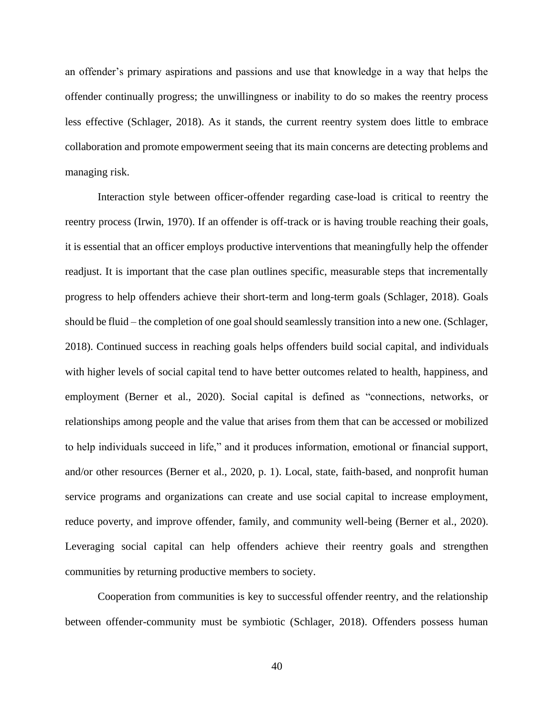an offender's primary aspirations and passions and use that knowledge in a way that helps the offender continually progress; the unwillingness or inability to do so makes the reentry process less effective (Schlager, 2018). As it stands, the current reentry system does little to embrace collaboration and promote empowerment seeing that its main concerns are detecting problems and managing risk.

Interaction style between officer-offender regarding case-load is critical to reentry the reentry process [\(Irwin, 1970\)](#page-69-7). If an offender is off-track or is having trouble reaching their goals, it is essential that an officer employs productive interventions that meaningfully help the offender readjust. It is important that the case plan outlines specific, measurable steps that incrementally progress to help offenders achieve their short-term and long-term goals (Schlager, 2018). Goals should be fluid – the completion of one goal should seamlessly transition into a new one. (Schlager, 2018). Continued success in reaching goals helps offenders build social capital, and individuals with higher levels of social capital tend to have better outcomes related to health, happiness, and employment [\(Berner et al., 2020\)](#page-67-1). Social capital is defined as "connections, networks, or relationships among people and the value that arises from them that can be accessed or mobilized to help individuals succeed in life," and it produces information, emotional or financial support, and/or other resources [\(Berner et al., 2020, p. 1\)](#page-67-1). Local, state, faith-based, and nonprofit human service programs and organizations can create and use social capital to increase employment, reduce poverty, and improve offender, family, and community well-being [\(Berner et al., 2020\)](#page-67-1). Leveraging social capital can help offenders achieve their reentry goals and strengthen communities by returning productive members to society.

Cooperation from communities is key to successful offender reentry, and the relationship between offender-community must be symbiotic (Schlager, 2018). Offenders possess human

40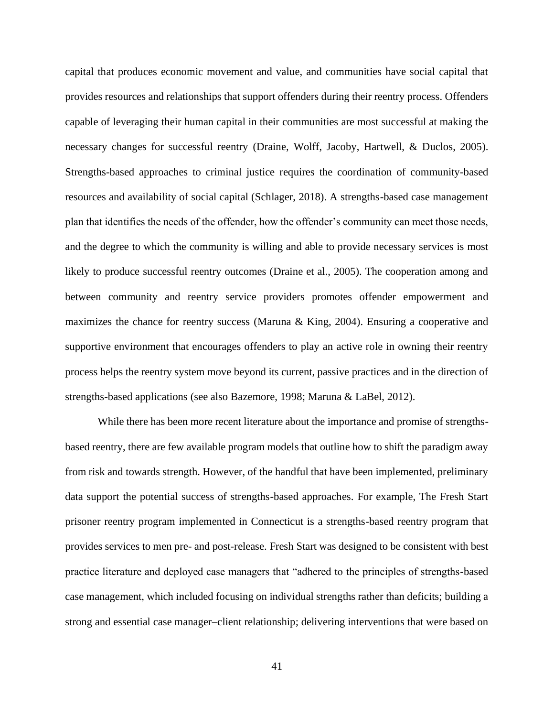capital that produces economic movement and value, and communities have social capital that provides resources and relationships that support offenders during their reentry process. Offenders capable of leveraging their human capital in their communities are most successful at making the necessary changes for successful reentry [\(Draine, Wolff, Jacoby, Hartwell, & Duclos, 2005\)](#page-68-7). Strengths-based approaches to criminal justice requires the coordination of community-based resources and availability of social capital (Schlager, 2018). A strengths-based case management plan that identifies the needs of the offender, how the offender's community can meet those needs, and the degree to which the community is willing and able to provide necessary services is most likely to produce successful reentry outcomes (Draine et al., 2005). The cooperation among and between community and reentry service providers promotes offender empowerment and maximizes the chance for reentry success (Maruna  $\&$  King, 2004). Ensuring a cooperative and supportive environment that encourages offenders to play an active role in owning their reentry process helps the reentry system move beyond its current, passive practices and in the direction of strengths-based applications (see also [Bazemore, 1998;](#page-67-2) [Maruna & LaBel, 2012\)](#page-70-4).

While there has been more recent literature about the importance and promise of strengthsbased reentry, there are few available program models that outline how to shift the paradigm away from risk and towards strength. However, of the handful that have been implemented, preliminary data support the potential success of strengths-based approaches. For example, The Fresh Start prisoner reentry program implemented in Connecticut is a strengths-based reentry program that provides services to men pre- and post-release. Fresh Start was designed to be consistent with best practice literature and deployed case managers that "adhered to the principles of strengths-based case management, which included focusing on individual strengths rather than deficits; building a strong and essential case manager–client relationship; delivering interventions that were based on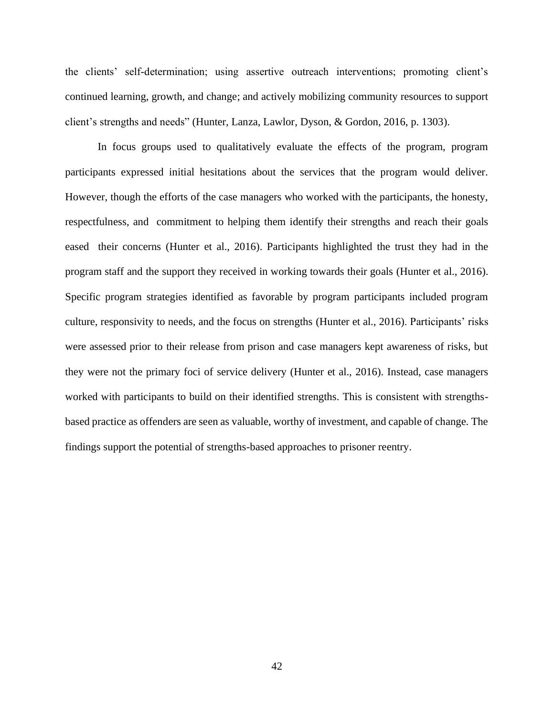the clients' self-determination; using assertive outreach interventions; promoting client's continued learning, growth, and change; and actively mobilizing community resources to support client's strengths and needs" [\(Hunter, Lanza, Lawlor, Dyson, & Gordon, 2016, p. 1303\)](#page-69-8).

In focus groups used to qualitatively evaluate the effects of the program, program participants expressed initial hesitations about the services that the program would deliver. However, though the efforts of the case managers who worked with the participants, the honesty, respectfulness, and commitment to helping them identify their strengths and reach their goals eased their concerns [\(Hunter et al., 2016\)](#page-69-8). Participants highlighted the trust they had in the program staff and the support they received in working towards their goals [\(Hunter et al., 2016\)](#page-69-8). Specific program strategies identified as favorable by program participants included program culture, responsivity to needs, and the focus on strengths [\(Hunter et al., 2016\)](#page-69-8). Participants' risks were assessed prior to their release from prison and case managers kept awareness of risks, but they were not the primary foci of service delivery [\(Hunter et al., 2016\)](#page-69-8). Instead, case managers worked with participants to build on their identified strengths. This is consistent with strengthsbased practice as offenders are seen as valuable, worthy of investment, and capable of change. The findings support the potential of strengths-based approaches to prisoner reentry.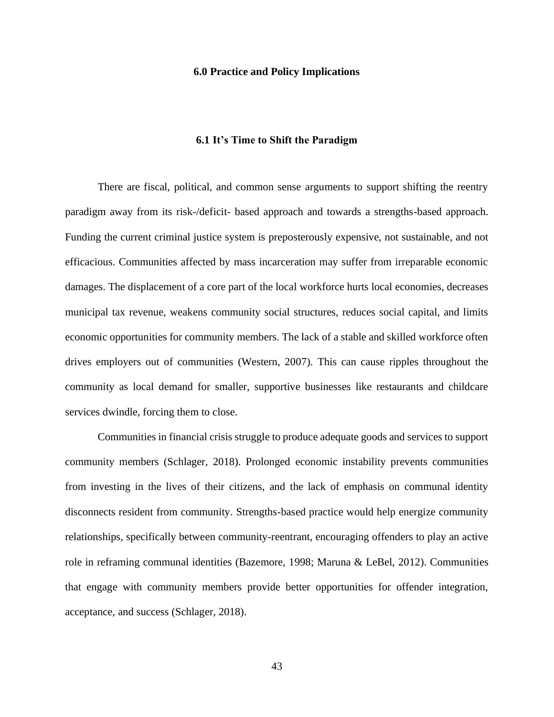#### **6.0 Practice and Policy Implications**

#### **6.1 It's Time to Shift the Paradigm**

There are fiscal, political, and common sense arguments to support shifting the reentry paradigm away from its risk-/deficit- based approach and towards a strengths-based approach. Funding the current criminal justice system is preposterously expensive, not sustainable, and not efficacious. Communities affected by mass incarceration may suffer from irreparable economic damages. The displacement of a core part of the local workforce hurts local economies, decreases municipal tax revenue, weakens community social structures, reduces social capital, and limits economic opportunities for community members. The lack of a stable and skilled workforce often drives employers out of communities [\(Western, 2007\)](#page-74-3). This can cause ripples throughout the community as local demand for smaller, supportive businesses like restaurants and childcare services dwindle, forcing them to close.

Communities in financial crisis struggle to produce adequate goods and services to support community members (Schlager, 2018). Prolonged economic instability prevents communities from investing in the lives of their citizens, and the lack of emphasis on communal identity disconnects resident from community. Strengths-based practice would help energize community relationships, specifically between community-reentrant, encouraging offenders to play an active role in reframing communal identities (Bazemore, 1998; Maruna & LeBel, 2012). Communities that engage with community members provide better opportunities for offender integration, acceptance, and success (Schlager, 2018).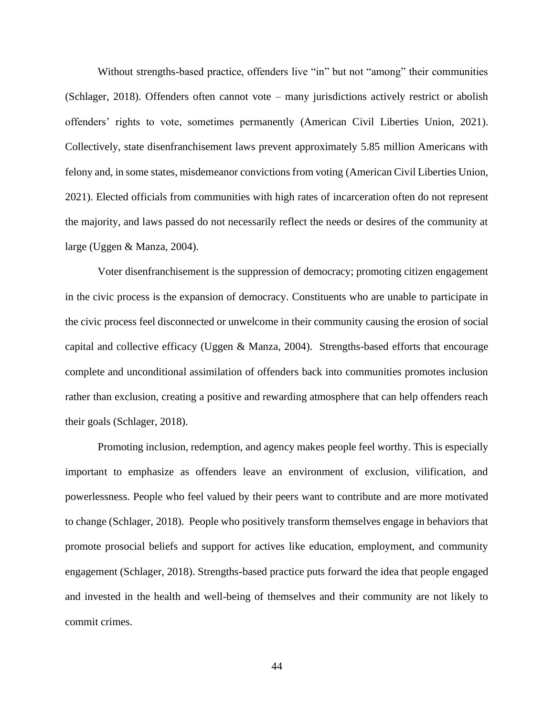Without strengths-based practice, offenders live "in" but not "among" their communities (Schlager, 2018). Offenders often cannot vote – many jurisdictions actively restrict or abolish offenders' rights to vote, sometimes permanently [\(American Civil Liberties Union, 2021\)](#page-67-3). Collectively, state disenfranchisement laws prevent approximately 5.85 million Americans with felony and, in some states, misdemeanor convictions from voting [\(American Civil Liberties Union,](#page-67-3)  [2021\)](#page-67-3). Elected officials from communities with high rates of incarceration often do not represent the majority, and laws passed do not necessarily reflect the needs or desires of the community at large [\(Uggen & Manza, 2004\)](#page-73-3).

Voter disenfranchisement is the suppression of democracy; promoting citizen engagement in the civic process is the expansion of democracy. Constituents who are unable to participate in the civic process feel disconnected or unwelcome in their community causing the erosion of social capital and collective efficacy [\(Uggen & Manza, 2004\)](#page-73-3). Strengths-based efforts that encourage complete and unconditional assimilation of offenders back into communities promotes inclusion rather than exclusion, creating a positive and rewarding atmosphere that can help offenders reach their goals (Schlager, 2018).

Promoting inclusion, redemption, and agency makes people feel worthy. This is especially important to emphasize as offenders leave an environment of exclusion, vilification, and powerlessness. People who feel valued by their peers want to contribute and are more motivated to change (Schlager, 2018). People who positively transform themselves engage in behaviors that promote prosocial beliefs and support for actives like education, employment, and community engagement (Schlager, 2018). Strengths-based practice puts forward the idea that people engaged and invested in the health and well-being of themselves and their community are not likely to commit crimes.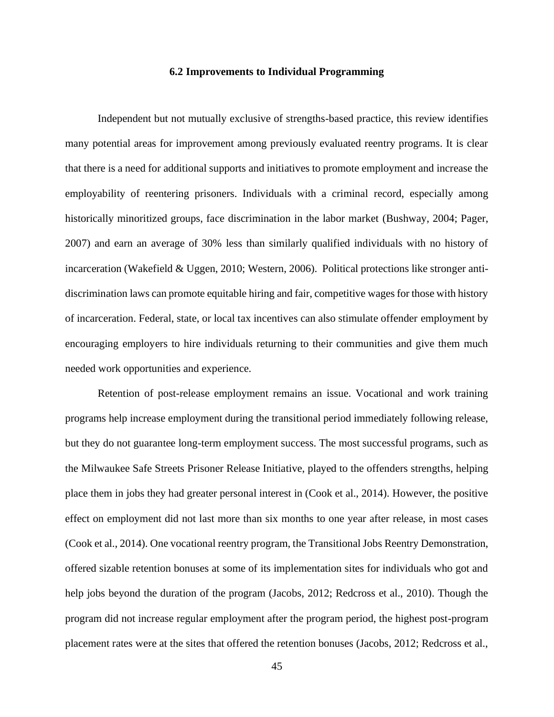#### **6.2 Improvements to Individual Programming**

Independent but not mutually exclusive of strengths-based practice, this review identifies many potential areas for improvement among previously evaluated reentry programs. It is clear that there is a need for additional supports and initiatives to promote employment and increase the employability of reentering prisoners. Individuals with a criminal record, especially among historically minoritized groups, face discrimination in the labor market [\(Bushway, 2004;](#page-67-4) [Pager,](#page-71-4)  [2007\)](#page-71-4) and earn an average of 30% less than similarly qualified individuals with no history of incarceration (Wakefield & Uggen, 2010; Western, 2006). Political protections like stronger antidiscrimination laws can promote equitable hiring and fair, competitive wages for those with history of incarceration. Federal, state, or local tax incentives can also stimulate offender employment by encouraging employers to hire individuals returning to their communities and give them much needed work opportunities and experience.

Retention of post-release employment remains an issue. Vocational and work training programs help increase employment during the transitional period immediately following release, but they do not guarantee long-term employment success. The most successful programs, such as the Milwaukee Safe Streets Prisoner Release Initiative, played to the offenders strengths, helping place them in jobs they had greater personal interest in (Cook et al., 2014). However, the positive effect on employment did not last more than six months to one year after release, in most cases (Cook et al., 2014). One vocational reentry program, the Transitional Jobs Reentry Demonstration, offered sizable retention bonuses at some of its implementation sites for individuals who got and help jobs beyond the duration of the program (Jacobs, 2012; Redcross et al., 2010). Though the program did not increase regular employment after the program period, the highest post-program placement rates were at the sites that offered the retention bonuses (Jacobs, 2012; Redcross et al.,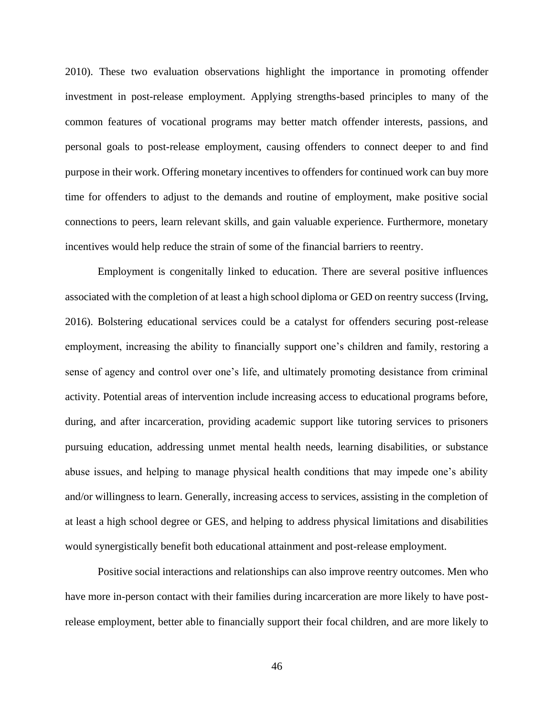2010). These two evaluation observations highlight the importance in promoting offender investment in post-release employment. Applying strengths-based principles to many of the common features of vocational programs may better match offender interests, passions, and personal goals to post-release employment, causing offenders to connect deeper to and find purpose in their work. Offering monetary incentives to offenders for continued work can buy more time for offenders to adjust to the demands and routine of employment, make positive social connections to peers, learn relevant skills, and gain valuable experience. Furthermore, monetary incentives would help reduce the strain of some of the financial barriers to reentry.

Employment is congenitally linked to education. There are several positive influences associated with the completion of at least a high school diploma or GED on reentry success [\(Irving,](#page-69-9)  [2016\)](#page-69-9). Bolstering educational services could be a catalyst for offenders securing post-release employment, increasing the ability to financially support one's children and family, restoring a sense of agency and control over one's life, and ultimately promoting desistance from criminal activity. Potential areas of intervention include increasing access to educational programs before, during, and after incarceration, providing academic support like tutoring services to prisoners pursuing education, addressing unmet mental health needs, learning disabilities, or substance abuse issues, and helping to manage physical health conditions that may impede one's ability and/or willingness to learn. Generally, increasing access to services, assisting in the completion of at least a high school degree or GES, and helping to address physical limitations and disabilities would synergistically benefit both educational attainment and post-release employment.

Positive social interactions and relationships can also improve reentry outcomes. Men who have more in-person contact with their families during incarceration are more likely to have postrelease employment, better able to financially support their focal children, and are more likely to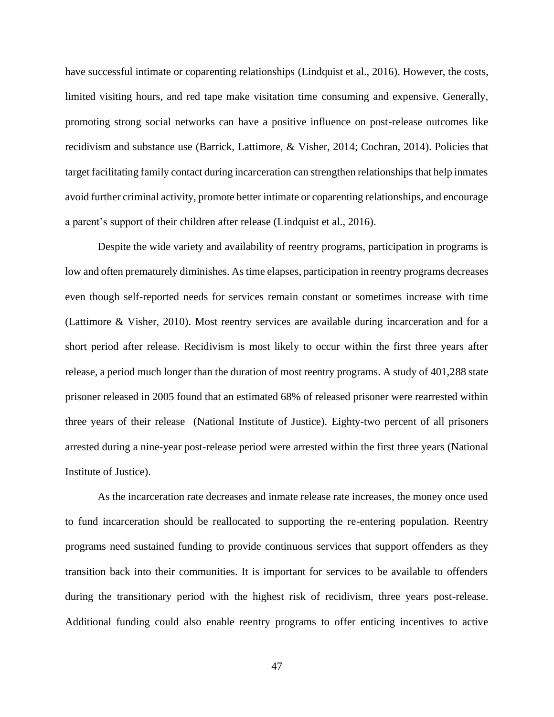have successful intimate or coparenting relationships [\(Lindquist et al., 2016\)](#page-70-0). However, the costs, limited visiting hours, and red tape make visitation time consuming and expensive. Generally, promoting strong social networks can have a positive influence on post-release outcomes like recidivism and substance use [\(Barrick, Lattimore, & Visher, 2014;](#page-67-5) [Cochran, 2014\)](#page-68-8). Policies that target facilitating family contact during incarceration can strengthen relationships that help inmates avoid further criminal activity, promote better intimate or coparenting relationships, and encourage a parent's support of their children after release [\(Lindquist et al., 2016\)](#page-70-0).

Despite the wide variety and availability of reentry programs, participation in programs is low and often prematurely diminishes. As time elapses, participation in reentry programs decreases even though self-reported needs for services remain constant or sometimes increase with time [\(Lattimore & Visher, 2010\)](#page-70-5). Most reentry services are available during incarceration and for a short period after release. Recidivism is most likely to occur within the first three years after release, a period much longer than the duration of most reentry programs. A study of 401,288 state prisoner released in 2005 found that an estimated 68% of released prisoner were rearrested within three years of their release [\(National Institute of Justice\)](#page-71-5). Eighty-two percent of all prisoners arrested during a nine-year post-release period were arrested within the first three years [\(National](#page-71-5)  [Institute of Justice\)](#page-71-5).

As the incarceration rate decreases and inmate release rate increases, the money once used to fund incarceration should be reallocated to supporting the re-entering population. Reentry programs need sustained funding to provide continuous services that support offenders as they transition back into their communities. It is important for services to be available to offenders during the transitionary period with the highest risk of recidivism, three years post-release. Additional funding could also enable reentry programs to offer enticing incentives to active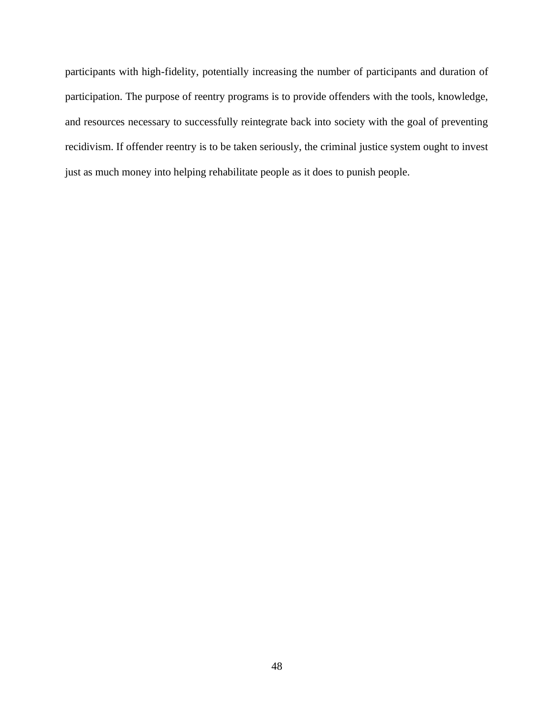participants with high-fidelity, potentially increasing the number of participants and duration of participation. The purpose of reentry programs is to provide offenders with the tools, knowledge, and resources necessary to successfully reintegrate back into society with the goal of preventing recidivism. If offender reentry is to be taken seriously, the criminal justice system ought to invest just as much money into helping rehabilitate people as it does to punish people.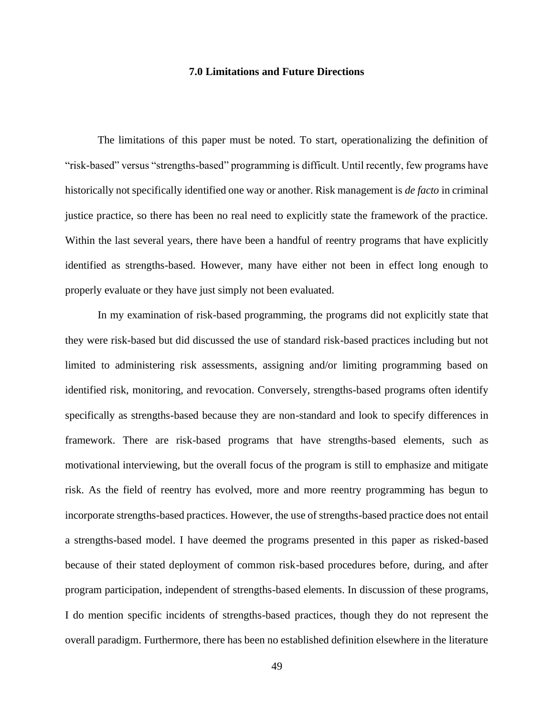#### **7.0 Limitations and Future Directions**

The limitations of this paper must be noted. To start, operationalizing the definition of "risk-based" versus "strengths-based" programming is difficult. Until recently, few programs have historically not specifically identified one way or another. Risk management is *de facto* in criminal justice practice, so there has been no real need to explicitly state the framework of the practice. Within the last several years, there have been a handful of reentry programs that have explicitly identified as strengths-based. However, many have either not been in effect long enough to properly evaluate or they have just simply not been evaluated.

In my examination of risk-based programming, the programs did not explicitly state that they were risk-based but did discussed the use of standard risk-based practices including but not limited to administering risk assessments, assigning and/or limiting programming based on identified risk, monitoring, and revocation. Conversely, strengths-based programs often identify specifically as strengths-based because they are non-standard and look to specify differences in framework. There are risk-based programs that have strengths-based elements, such as motivational interviewing, but the overall focus of the program is still to emphasize and mitigate risk. As the field of reentry has evolved, more and more reentry programming has begun to incorporate strengths-based practices. However, the use of strengths-based practice does not entail a strengths-based model. I have deemed the programs presented in this paper as risked-based because of their stated deployment of common risk-based procedures before, during, and after program participation, independent of strengths-based elements. In discussion of these programs, I do mention specific incidents of strengths-based practices, though they do not represent the overall paradigm. Furthermore, there has been no established definition elsewhere in the literature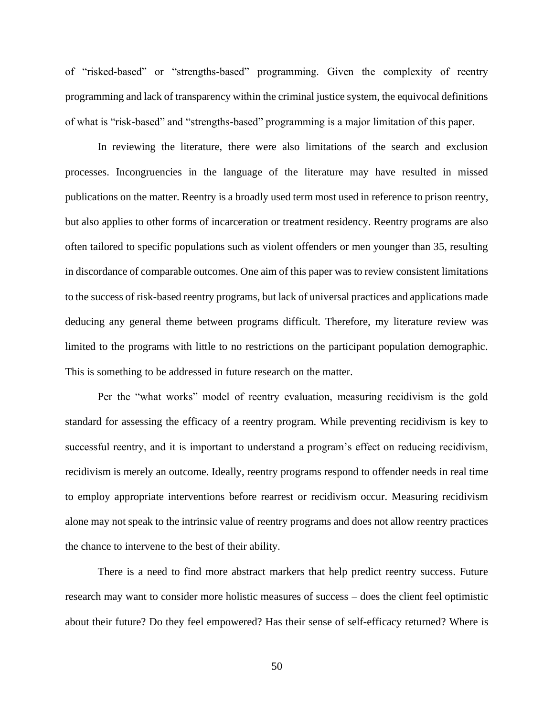of "risked-based" or "strengths-based" programming. Given the complexity of reentry programming and lack of transparency within the criminal justice system, the equivocal definitions of what is "risk-based" and "strengths-based" programming is a major limitation of this paper.

In reviewing the literature, there were also limitations of the search and exclusion processes. Incongruencies in the language of the literature may have resulted in missed publications on the matter. Reentry is a broadly used term most used in reference to prison reentry, but also applies to other forms of incarceration or treatment residency. Reentry programs are also often tailored to specific populations such as violent offenders or men younger than 35, resulting in discordance of comparable outcomes. One aim of this paper was to review consistent limitations to the success of risk-based reentry programs, but lack of universal practices and applications made deducing any general theme between programs difficult. Therefore, my literature review was limited to the programs with little to no restrictions on the participant population demographic. This is something to be addressed in future research on the matter.

Per the "what works" model of reentry evaluation, measuring recidivism is the gold standard for assessing the efficacy of a reentry program. While preventing recidivism is key to successful reentry, and it is important to understand a program's effect on reducing recidivism, recidivism is merely an outcome. Ideally, reentry programs respond to offender needs in real time to employ appropriate interventions before rearrest or recidivism occur. Measuring recidivism alone may not speak to the intrinsic value of reentry programs and does not allow reentry practices the chance to intervene to the best of their ability.

There is a need to find more abstract markers that help predict reentry success. Future research may want to consider more holistic measures of success – does the client feel optimistic about their future? Do they feel empowered? Has their sense of self-efficacy returned? Where is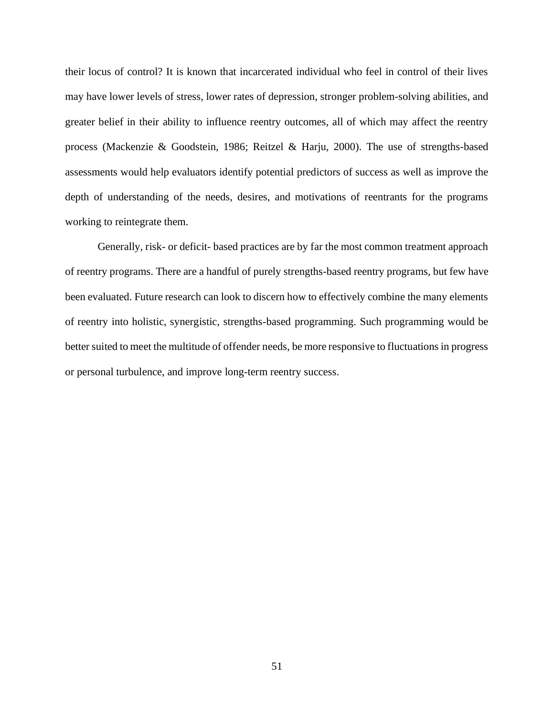their locus of control? It is known that incarcerated individual who feel in control of their lives may have lower levels of stress, lower rates of depression, stronger problem-solving abilities, and greater belief in their ability to influence reentry outcomes, all of which may affect the reentry process [\(Mackenzie & Goodstein, 1986;](#page-70-6) [Reitzel & Harju, 2000\)](#page-71-6). The use of strengths-based assessments would help evaluators identify potential predictors of success as well as improve the depth of understanding of the needs, desires, and motivations of reentrants for the programs working to reintegrate them.

Generally, risk- or deficit- based practices are by far the most common treatment approach of reentry programs. There are a handful of purely strengths-based reentry programs, but few have been evaluated. Future research can look to discern how to effectively combine the many elements of reentry into holistic, synergistic, strengths-based programming. Such programming would be better suited to meet the multitude of offender needs, be more responsive to fluctuations in progress or personal turbulence, and improve long-term reentry success.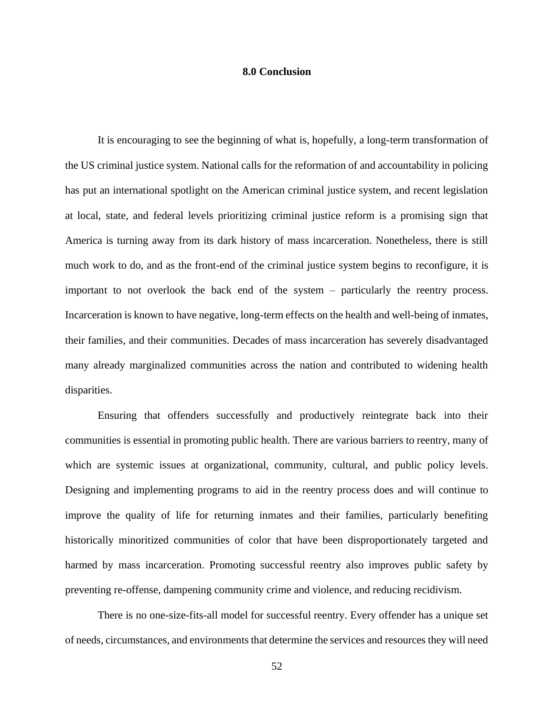#### **8.0 Conclusion**

It is encouraging to see the beginning of what is, hopefully, a long-term transformation of the US criminal justice system. National calls for the reformation of and accountability in policing has put an international spotlight on the American criminal justice system, and recent legislation at local, state, and federal levels prioritizing criminal justice reform is a promising sign that America is turning away from its dark history of mass incarceration. Nonetheless, there is still much work to do, and as the front-end of the criminal justice system begins to reconfigure, it is important to not overlook the back end of the system – particularly the reentry process. Incarceration is known to have negative, long-term effects on the health and well-being of inmates, their families, and their communities. Decades of mass incarceration has severely disadvantaged many already marginalized communities across the nation and contributed to widening health disparities.

Ensuring that offenders successfully and productively reintegrate back into their communities is essential in promoting public health. There are various barriers to reentry, many of which are systemic issues at organizational, community, cultural, and public policy levels. Designing and implementing programs to aid in the reentry process does and will continue to improve the quality of life for returning inmates and their families, particularly benefiting historically minoritized communities of color that have been disproportionately targeted and harmed by mass incarceration. Promoting successful reentry also improves public safety by preventing re-offense, dampening community crime and violence, and reducing recidivism.

There is no one-size-fits-all model for successful reentry. Every offender has a unique set of needs, circumstances, and environments that determine the services and resources they will need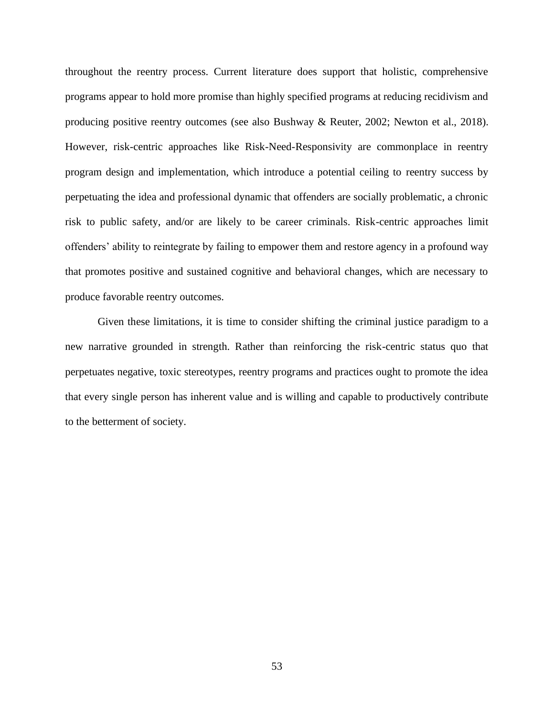throughout the reentry process. Current literature does support that holistic, comprehensive programs appear to hold more promise than highly specified programs at reducing recidivism and producing positive reentry outcomes (see also [Bushway & Reuter, 2002;](#page-67-6) [Newton et al., 2018\)](#page-71-7). However, risk-centric approaches like Risk-Need-Responsivity are commonplace in reentry program design and implementation, which introduce a potential ceiling to reentry success by perpetuating the idea and professional dynamic that offenders are socially problematic, a chronic risk to public safety, and/or are likely to be career criminals. Risk-centric approaches limit offenders' ability to reintegrate by failing to empower them and restore agency in a profound way that promotes positive and sustained cognitive and behavioral changes, which are necessary to produce favorable reentry outcomes.

Given these limitations, it is time to consider shifting the criminal justice paradigm to a new narrative grounded in strength. Rather than reinforcing the risk-centric status quo that perpetuates negative, toxic stereotypes, reentry programs and practices ought to promote the idea that every single person has inherent value and is willing and capable to productively contribute to the betterment of society.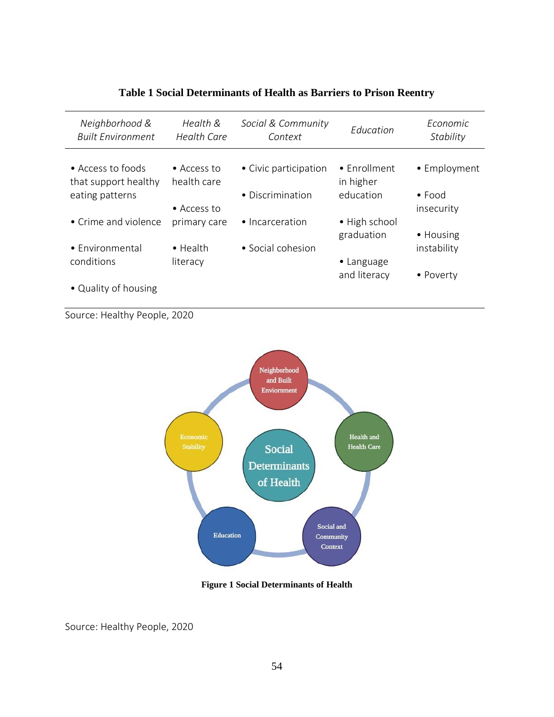| Neighborhood &<br><b>Built Environment</b> | Health &<br><b>Health Care</b>     | Social & Community<br>Context | Education                   | <i><u>Fconomic</u></i><br>Stability |
|--------------------------------------------|------------------------------------|-------------------------------|-----------------------------|-------------------------------------|
| • Access to foods<br>that support healthy  | $\bullet$ Access to<br>health care | • Civic participation         | • Enrollment<br>in higher   | • Employment                        |
| eating patterns                            | • Access to                        | • Discrimination              | education                   | $\bullet$ Food<br>insecurity        |
| • Crime and violence                       | primary care                       | • Incarceration               | • High school<br>graduation | • Housing                           |
| • Environmental<br>conditions              | $\bullet$ Health<br>literacy       | • Social cohesion             | • Language                  | instability                         |
| • Quality of housing                       |                                    |                               | and literacy                | • Poverty                           |

# **Table 1 Social Determinants of Health as Barriers to Prison Reentry**

Source: Healthy People, 2020



#### **Figure 1 Social Determinants of Health**

Source: Healthy People, 2020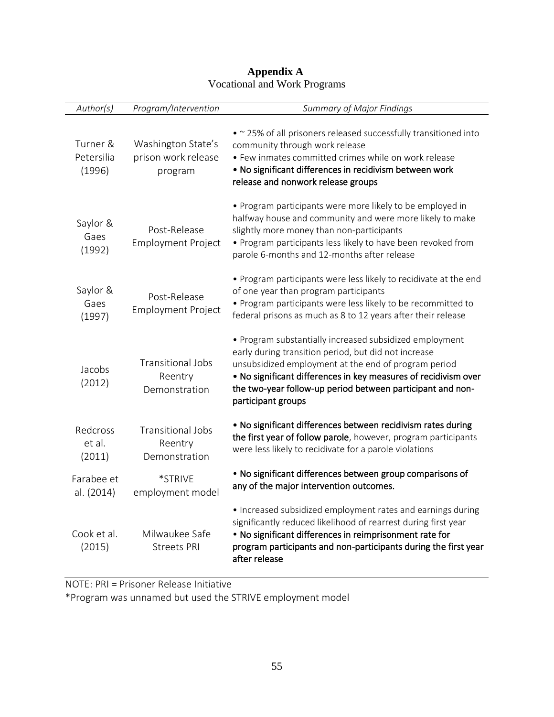| Author(s)                        | Program/Intervention                                 | <b>Summary of Major Findings</b>                                                                                                                                                                                                                                                                                               |
|----------------------------------|------------------------------------------------------|--------------------------------------------------------------------------------------------------------------------------------------------------------------------------------------------------------------------------------------------------------------------------------------------------------------------------------|
| Turner &<br>Petersilia<br>(1996) | Washington State's<br>prison work release<br>program | • ~ 25% of all prisoners released successfully transitioned into<br>community through work release<br>• Few inmates committed crimes while on work release<br>. No significant differences in recidivism between work<br>release and nonwork release groups                                                                    |
| Saylor &<br>Gaes<br>(1992)       | Post-Release<br><b>Employment Project</b>            | • Program participants were more likely to be employed in<br>halfway house and community and were more likely to make<br>slightly more money than non-participants<br>. Program participants less likely to have been revoked from<br>parole 6-months and 12-months after release                                              |
| Saylor &<br>Gaes<br>(1997)       | Post-Release<br><b>Employment Project</b>            | • Program participants were less likely to recidivate at the end<br>of one year than program participants<br>• Program participants were less likely to be recommitted to<br>federal prisons as much as 8 to 12 years after their release                                                                                      |
| Jacobs<br>(2012)                 | Transitional Jobs<br>Reentry<br>Demonstration        | • Program substantially increased subsidized employment<br>early during transition period, but did not increase<br>unsubsidized employment at the end of program period<br>. No significant differences in key measures of recidivism over<br>the two-year follow-up period between participant and non-<br>participant groups |
| Redcross<br>et al.<br>(2011)     | <b>Transitional Jobs</b><br>Reentry<br>Demonstration | . No significant differences between recidivism rates during<br>the first year of follow parole, however, program participants<br>were less likely to recidivate for a parole violations                                                                                                                                       |
| Farabee et<br>al. (2014)         | *STRIVE<br>employment model                          | • No significant differences between group comparisons of<br>any of the major intervention outcomes.                                                                                                                                                                                                                           |
| Cook et al.<br>(2015)            | Milwaukee Safe<br>Streets PRI                        | • Increased subsidized employment rates and earnings during<br>significantly reduced likelihood of rearrest during first year<br>• No significant differences in reimprisonment rate for<br>program participants and non-participants during the first year<br>after release                                                   |

### **Appendix A** Vocational and Work Programs

NOTE: PRI = Prisoner Release Initiative

\*Program was unnamed but used the STRIVE employment model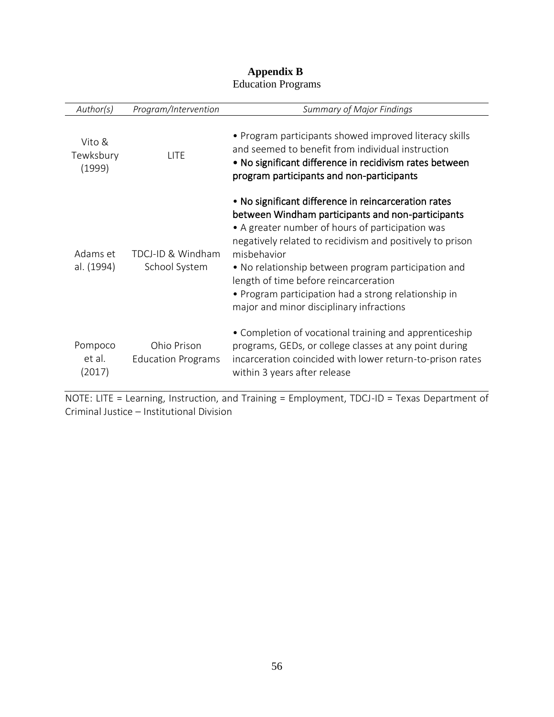| Author(s)                     | Program/Intervention                     | <b>Summary of Major Findings</b>                                                                                                                                                                                                                                                                                                                                                                                                              |
|-------------------------------|------------------------------------------|-----------------------------------------------------------------------------------------------------------------------------------------------------------------------------------------------------------------------------------------------------------------------------------------------------------------------------------------------------------------------------------------------------------------------------------------------|
| Vito &<br>Tewksbury<br>(1999) | LITE                                     | • Program participants showed improved literacy skills<br>and seemed to benefit from individual instruction<br>• No significant difference in recidivism rates between<br>program participants and non-participants                                                                                                                                                                                                                           |
| Adams et<br>al. (1994)        | TDCJ-ID & Windham<br>School System       | • No significant difference in reincarceration rates<br>between Windham participants and non-participants<br>• A greater number of hours of participation was<br>negatively related to recidivism and positively to prison<br>misbehavior<br>• No relationship between program participation and<br>length of time before reincarceration<br>• Program participation had a strong relationship in<br>major and minor disciplinary infractions |
| Pompoco<br>et al.<br>(2017)   | Ohio Prison<br><b>Education Programs</b> | • Completion of vocational training and apprenticeship<br>programs, GEDs, or college classes at any point during<br>incarceration coincided with lower return-to-prison rates<br>within 3 years after release                                                                                                                                                                                                                                 |

### **Appendix B** Education Programs

NOTE: LITE = Learning, Instruction, and Training = Employment, TDCJ-ID = Texas Department of Criminal Justice – Institutional Division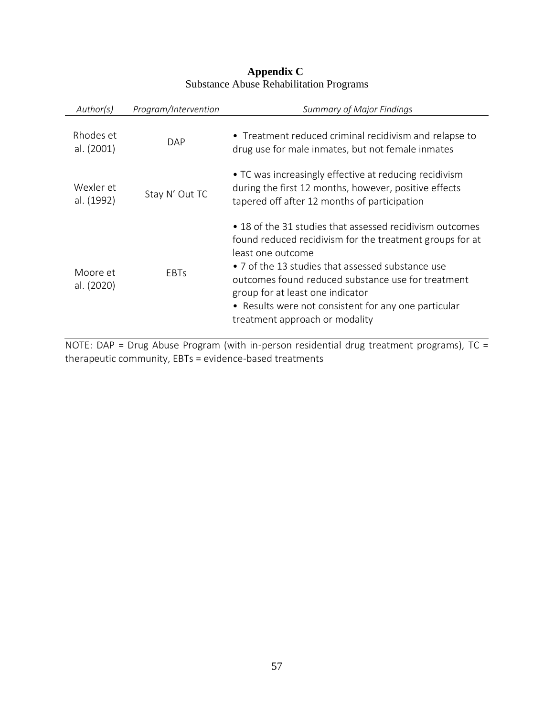| Author(s)               | Program/Intervention | <b>Summary of Major Findings</b>                                                                                                                                                                                                                                                                                                                                                   |
|-------------------------|----------------------|------------------------------------------------------------------------------------------------------------------------------------------------------------------------------------------------------------------------------------------------------------------------------------------------------------------------------------------------------------------------------------|
| Rhodes et<br>al. (2001) | DAP                  | • Treatment reduced criminal recidivism and relapse to<br>drug use for male inmates, but not female inmates                                                                                                                                                                                                                                                                        |
| Wexler et<br>al. (1992) | Stay N' Out TC       | • TC was increasingly effective at reducing recidivism<br>during the first 12 months, however, positive effects<br>tapered off after 12 months of participation                                                                                                                                                                                                                    |
| Moore et<br>al. (2020)  | <b>EBTs</b>          | • 18 of the 31 studies that assessed recidivism outcomes<br>found reduced recidivism for the treatment groups for at<br>least one outcome<br>• 7 of the 13 studies that assessed substance use<br>outcomes found reduced substance use for treatment<br>group for at least one indicator<br>• Results were not consistent for any one particular<br>treatment approach or modality |

## **Appendix C** Substance Abuse Rehabilitation Programs

NOTE: DAP = Drug Abuse Program (with in-person residential drug treatment programs), TC = therapeutic community, EBTs = evidence-based treatments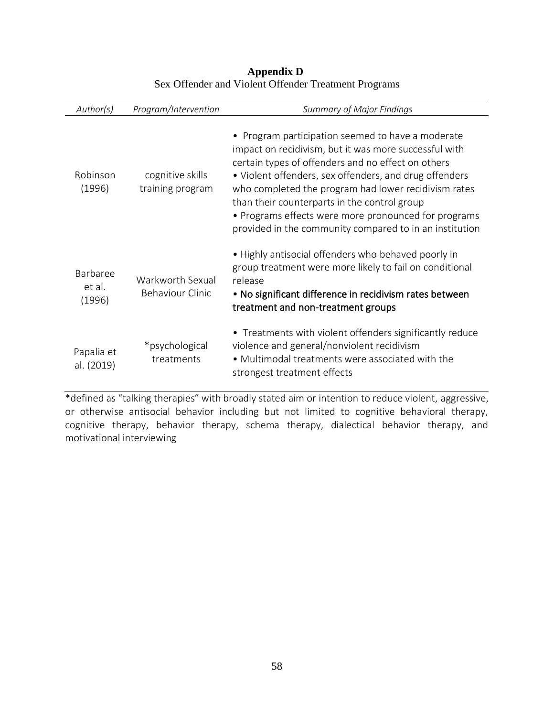| Author(s)                    | Program/Intervention                        | <b>Summary of Major Findings</b>                                                                                                                                                                                                                                                                                                                                                                                                                      |
|------------------------------|---------------------------------------------|-------------------------------------------------------------------------------------------------------------------------------------------------------------------------------------------------------------------------------------------------------------------------------------------------------------------------------------------------------------------------------------------------------------------------------------------------------|
| Robinson<br>(1996)           | cognitive skills<br>training program        | • Program participation seemed to have a moderate<br>impact on recidivism, but it was more successful with<br>certain types of offenders and no effect on others<br>• Violent offenders, sex offenders, and drug offenders<br>who completed the program had lower recidivism rates<br>than their counterparts in the control group<br>• Programs effects were more pronounced for programs<br>provided in the community compared to in an institution |
| Barbaree<br>et al.<br>(1996) | Warkworth Sexual<br><b>Behaviour Clinic</b> | • Highly antisocial offenders who behaved poorly in<br>group treatment were more likely to fail on conditional<br>release<br>• No significant difference in recidivism rates between<br>treatment and non-treatment groups                                                                                                                                                                                                                            |
| Papalia et<br>al. (2019)     | *psychological<br>treatments                | • Treatments with violent offenders significantly reduce<br>violence and general/nonviolent recidivism<br>• Multimodal treatments were associated with the<br>strongest treatment effects                                                                                                                                                                                                                                                             |

### **Appendix D** Sex Offender and Violent Offender Treatment Programs

\*defined as "talking therapies" with broadly stated aim or intention to reduce violent, aggressive, or otherwise antisocial behavior including but not limited to cognitive behavioral therapy, cognitive therapy, behavior therapy, schema therapy, dialectical behavior therapy, and motivational interviewing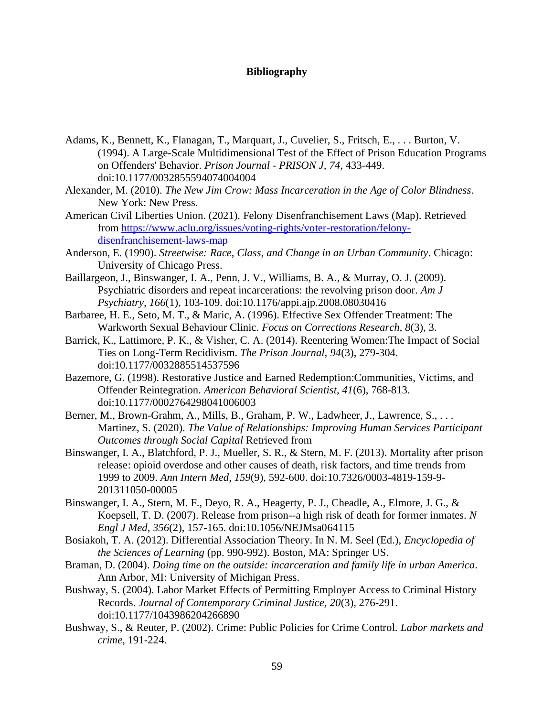### **Bibliography**

- Adams, K., Bennett, K., Flanagan, T., Marquart, J., Cuvelier, S., Fritsch, E., . . . Burton, V. (1994). A Large-Scale Multidimensional Test of the Effect of Prison Education Programs on Offenders' Behavior. *Prison Journal - PRISON J, 74*, 433-449. doi:10.1177/0032855594074004004
- Alexander, M. (2010). *The New Jim Crow: Mass Incarceration in the Age of Color Blindness*. New York: New Press.
- <span id="page-67-3"></span>American Civil Liberties Union. (2021). Felony Disenfranchisement Laws (Map). Retrieved from [https://www.aclu.org/issues/voting-rights/voter-restoration/felony](https://www.aclu.org/issues/voting-rights/voter-restoration/felony-disenfranchisement-laws-map)[disenfranchisement-laws-map](https://www.aclu.org/issues/voting-rights/voter-restoration/felony-disenfranchisement-laws-map)
- Anderson, E. (1990). *Streetwise: Race, Class, and Change in an Urban Community*. Chicago: University of Chicago Press.
- Baillargeon, J., Binswanger, I. A., Penn, J. V., Williams, B. A., & Murray, O. J. (2009). Psychiatric disorders and repeat incarcerations: the revolving prison door. *Am J Psychiatry, 166*(1), 103-109. doi:10.1176/appi.ajp.2008.08030416
- <span id="page-67-0"></span>Barbaree, H. E., Seto, M. T., & Maric, A. (1996). Effective Sex Offender Treatment: The Warkworth Sexual Behaviour Clinic. *Focus on Corrections Research, 8*(3), 3.
- <span id="page-67-5"></span>Barrick, K., Lattimore, P. K., & Visher, C. A. (2014). Reentering Women:The Impact of Social Ties on Long-Term Recidivism. *The Prison Journal, 94*(3), 279-304. doi:10.1177/0032885514537596
- <span id="page-67-2"></span>Bazemore, G. (1998). Restorative Justice and Earned Redemption:Communities, Victims, and Offender Reintegration. *American Behavioral Scientist, 41*(6), 768-813. doi:10.1177/0002764298041006003
- <span id="page-67-1"></span>Berner, M., Brown-Grahm, A., Mills, B., Graham, P. W., Ladwheer, J., Lawrence, S., ... Martinez, S. (2020). *The Value of Relationships: Improving Human Services Participant Outcomes through Social Capital* Retrieved from
- Binswanger, I. A., Blatchford, P. J., Mueller, S. R., & Stern, M. F. (2013). Mortality after prison release: opioid overdose and other causes of death, risk factors, and time trends from 1999 to 2009. *Ann Intern Med, 159*(9), 592-600. doi:10.7326/0003-4819-159-9- 201311050-00005
- Binswanger, I. A., Stern, M. F., Deyo, R. A., Heagerty, P. J., Cheadle, A., Elmore, J. G., & Koepsell, T. D. (2007). Release from prison--a high risk of death for former inmates. *N Engl J Med, 356*(2), 157-165. doi:10.1056/NEJMsa064115
- Bosiakoh, T. A. (2012). Differential Association Theory. In N. M. Seel (Ed.), *Encyclopedia of the Sciences of Learning* (pp. 990-992). Boston, MA: Springer US.
- Braman, D. (2004). *Doing time on the outside: incarceration and family life in urban America*. Ann Arbor, MI: University of Michigan Press.
- <span id="page-67-4"></span>Bushway, S. (2004). Labor Market Effects of Permitting Employer Access to Criminal History Records. *Journal of Contemporary Criminal Justice, 20*(3), 276-291. doi:10.1177/1043986204266890
- <span id="page-67-6"></span>Bushway, S., & Reuter, P. (2002). Crime: Public Policies for Crime Control. *Labor markets and crime*, 191-224.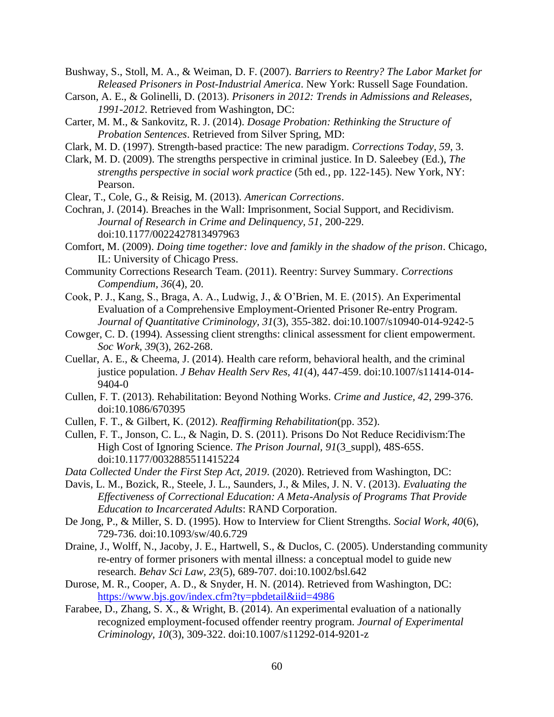Bushway, S., Stoll, M. A., & Weiman, D. F. (2007). *Barriers to Reentry? The Labor Market for Released Prisoners in Post-Industrial America*. New York: Russell Sage Foundation.

- <span id="page-68-5"></span>Carson, A. E., & Golinelli, D. (2013). *Prisoners in 2012: Trends in Admissions and Releases, 1991-2012*. Retrieved from Washington, DC:
- <span id="page-68-1"></span>Carter, M. M., & Sankovitz, R. J. (2014). *Dosage Probation: Rethinking the Structure of Probation Sentences*. Retrieved from Silver Spring, MD:
- <span id="page-68-2"></span>Clark, M. D. (1997). Strength-based practice: The new paradigm. *Corrections Today, 59*, 3.
- <span id="page-68-6"></span>Clark, M. D. (2009). The strengths perspective in criminal justice. In D. Saleebey (Ed.), *The strengths perspective in social work practice* (5th ed., pp. 122-145). New York, NY: Pearson.

Clear, T., Cole, G., & Reisig, M. (2013). *American Corrections*.

<span id="page-68-8"></span>Cochran, J. (2014). Breaches in the Wall: Imprisonment, Social Support, and Recidivism. *Journal of Research in Crime and Delinquency, 51*, 200-229. doi:10.1177/0022427813497963

Comfort, M. (2009). *Doing time together: love and famikly in the shadow of the prison*. Chicago, IL: University of Chicago Press.

- Community Corrections Research Team. (2011). Reentry: Survey Summary. *Corrections Compendium, 36*(4), 20.
- Cook, P. J., Kang, S., Braga, A. A., Ludwig, J., & O'Brien, M. E. (2015). An Experimental Evaluation of a Comprehensive Employment-Oriented Prisoner Re-entry Program. *Journal of Quantitative Criminology, 31*(3), 355-382. doi:10.1007/s10940-014-9242-5
- <span id="page-68-3"></span>Cowger, C. D. (1994). Assessing client strengths: clinical assessment for client empowerment. *Soc Work, 39*(3), 262-268.
- Cuellar, A. E., & Cheema, J. (2014). Health care reform, behavioral health, and the criminal justice population. *J Behav Health Serv Res, 41*(4), 447-459. doi:10.1007/s11414-014- 9404-0
- Cullen, F. T. (2013). Rehabilitation: Beyond Nothing Works. *Crime and Justice, 42*, 299-376. doi:10.1086/670395
- Cullen, F. T., & Gilbert, K. (2012). *Reaffirming Rehabilitation*(pp. 352).
- Cullen, F. T., Jonson, C. L., & Nagin, D. S. (2011). Prisons Do Not Reduce Recidivism:The High Cost of Ignoring Science. *The Prison Journal, 91*(3\_suppl), 48S-65S. doi:10.1177/0032885511415224

*Data Collected Under the First Step Act, 2019*. (2020). Retrieved from Washington, DC:

<span id="page-68-0"></span>Davis, L. M., Bozick, R., Steele, J. L., Saunders, J., & Miles, J. N. V. (2013). *Evaluating the Effectiveness of Correctional Education: A Meta-Analysis of Programs That Provide Education to Incarcerated Adults*: RAND Corporation.

<span id="page-68-4"></span>De Jong, P., & Miller, S. D. (1995). How to Interview for Client Strengths. *Social Work, 40*(6), 729-736. doi:10.1093/sw/40.6.729

- <span id="page-68-7"></span>Draine, J., Wolff, N., Jacoby, J. E., Hartwell, S., & Duclos, C. (2005). Understanding community re-entry of former prisoners with mental illness: a conceptual model to guide new research. *Behav Sci Law, 23*(5), 689-707. doi:10.1002/bsl.642
- Durose, M. R., Cooper, A. D., & Snyder, H. N. (2014). Retrieved from Washington, DC: <https://www.bjs.gov/index.cfm?ty=pbdetail&iid=4986>
- Farabee, D., Zhang, S. X., & Wright, B. (2014). An experimental evaluation of a nationally recognized employment-focused offender reentry program. *Journal of Experimental Criminology, 10*(3), 309-322. doi:10.1007/s11292-014-9201-z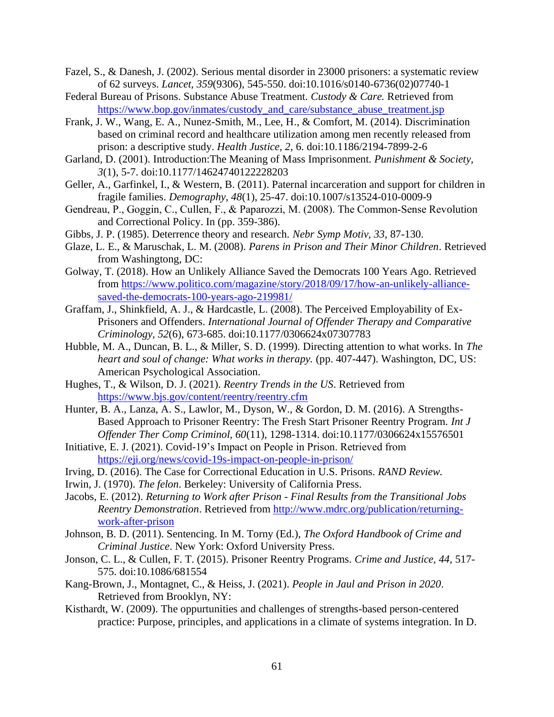- Fazel, S., & Danesh, J. (2002). Serious mental disorder in 23000 prisoners: a systematic review of 62 surveys. *Lancet, 359*(9306), 545-550. doi:10.1016/s0140-6736(02)07740-1
- <span id="page-69-1"></span>Federal Bureau of Prisons. Substance Abuse Treatment. *Custody & Care.* Retrieved from [https://www.bop.gov/inmates/custody\\_and\\_care/substance\\_abuse\\_treatment.jsp](https://www.bop.gov/inmates/custody_and_care/substance_abuse_treatment.jsp)
- Frank, J. W., Wang, E. A., Nunez-Smith, M., Lee, H., & Comfort, M. (2014). Discrimination based on criminal record and healthcare utilization among men recently released from prison: a descriptive study. *Health Justice, 2*, 6. doi:10.1186/2194-7899-2-6
- Garland, D. (2001). Introduction:The Meaning of Mass Imprisonment. *Punishment & Society, 3*(1), 5-7. doi:10.1177/14624740122228203
- <span id="page-69-3"></span>Geller, A., Garfinkel, I., & Western, B. (2011). Paternal incarceration and support for children in fragile families. *Demography, 48*(1), 25-47. doi:10.1007/s13524-010-0009-9
- <span id="page-69-4"></span>Gendreau, P., Goggin, C., Cullen, F., & Paparozzi, M. (2008). The Common‐Sense Revolution and Correctional Policy. In (pp. 359-386).
- <span id="page-69-5"></span>Gibbs, J. P. (1985). Deterrence theory and research. *Nebr Symp Motiv, 33*, 87-130.
- Glaze, L. E., & Maruschak, L. M. (2008). *Parens in Prison and Their Minor Children*. Retrieved from Washingtong, DC:
- Golway, T. (2018). How an Unlikely Alliance Saved the Democrats 100 Years Ago. Retrieved from [https://www.politico.com/magazine/story/2018/09/17/how-an-unlikely-alliance](https://www.politico.com/magazine/story/2018/09/17/how-an-unlikely-alliance-saved-the-democrats-100-years-ago-219981/)[saved-the-democrats-100-years-ago-219981/](https://www.politico.com/magazine/story/2018/09/17/how-an-unlikely-alliance-saved-the-democrats-100-years-ago-219981/)
- <span id="page-69-0"></span>Graffam, J., Shinkfield, A. J., & Hardcastle, L. (2008). The Perceived Employability of Ex-Prisoners and Offenders. *International Journal of Offender Therapy and Comparative Criminology, 52*(6), 673-685. doi:10.1177/0306624x07307783
- <span id="page-69-6"></span>Hubble, M. A., Duncan, B. L., & Miller, S. D. (1999). Directing attention to what works. In *The heart and soul of change: What works in therapy.* (pp. 407-447). Washington, DC, US: American Psychological Association.
- Hughes, T., & Wilson, D. J. (2021). *Reentry Trends in the US*. Retrieved from <https://www.bjs.gov/content/reentry/reentry.cfm>
- <span id="page-69-8"></span>Hunter, B. A., Lanza, A. S., Lawlor, M., Dyson, W., & Gordon, D. M. (2016). A Strengths-Based Approach to Prisoner Reentry: The Fresh Start Prisoner Reentry Program. *Int J Offender Ther Comp Criminol, 60*(11), 1298-1314. doi:10.1177/0306624x15576501
- Initiative, E. J. (2021). Covid-19's Impact on People in Prison. Retrieved from <https://eji.org/news/covid-19s-impact-on-people-in-prison/>
- <span id="page-69-9"></span>Irving, D. (2016). The Case for Correctional Education in U.S. Prisons. *RAND Review.*
- <span id="page-69-7"></span>Irwin, J. (1970). *The felon*. Berkeley: University of California Press.
- Jacobs, E. (2012). *Returning to Work after Prison - Final Results from the Transitional Jobs Reentry Demonstration*. Retrieved from [http://www.mdrc.org/publication/returning](http://www.mdrc.org/publication/returning-work-after-prison)[work-after-prison](http://www.mdrc.org/publication/returning-work-after-prison)
- Johnson, B. D. (2011). Sentencing. In M. Torny (Ed.), *The Oxford Handbook of Crime and Criminal Justice*. New York: Oxford University Press.
- Jonson, C. L., & Cullen, F. T. (2015). Prisoner Reentry Programs. *Crime and Justice, 44*, 517- 575. doi:10.1086/681554
- Kang-Brown, J., Montagnet, C., & Heiss, J. (2021). *People in Jaul and Prison in 2020*. Retrieved from Brooklyn, NY:
- <span id="page-69-2"></span>Kisthardt, W. (2009). The oppurtunities and challenges of strengths-based person-centered practice: Purpose, principles, and applications in a climate of systems integration. In D.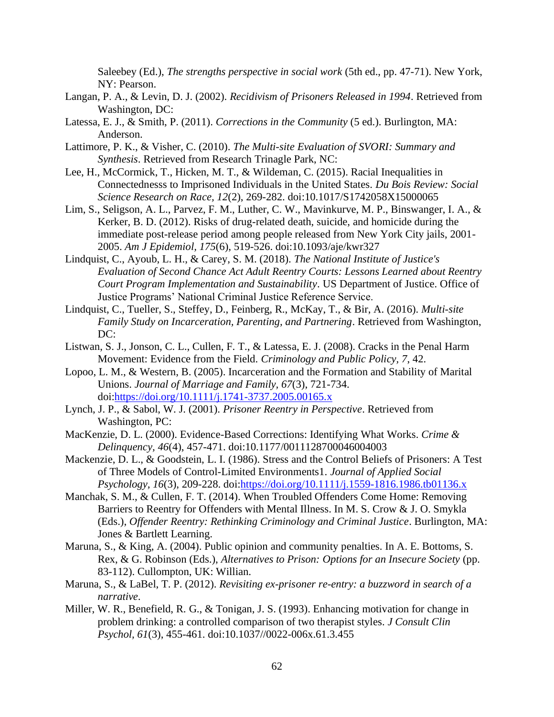Saleebey (Ed.), *The strengths perspective in social work* (5th ed., pp. 47-71). New York, NY: Pearson.

- Langan, P. A., & Levin, D. J. (2002). *Recidivism of Prisoners Released in 1994*. Retrieved from Washington, DC:
- Latessa, E. J., & Smith, P. (2011). *Corrections in the Community* (5 ed.). Burlington, MA: Anderson.
- <span id="page-70-5"></span>Lattimore, P. K., & Visher, C. (2010). *The Multi-site Evaluation of SVORI: Summary and Synthesis*. Retrieved from Research Trinagle Park, NC:
- Lee, H., McCormick, T., Hicken, M. T., & Wildeman, C. (2015). Racial Inequalities in Connectednesss to Imprisoned Individuals in the United States. *Du Bois Review: Social Science Research on Race, 12*(2), 269-282. doi:10.1017/S1742058X15000065
- Lim, S., Seligson, A. L., Parvez, F. M., Luther, C. W., Mavinkurve, M. P., Binswanger, I. A., & Kerker, B. D. (2012). Risks of drug-related death, suicide, and homicide during the immediate post-release period among people released from New York City jails, 2001- 2005. *Am J Epidemiol, 175*(6), 519-526. doi:10.1093/aje/kwr327
- Lindquist, C., Ayoub, L. H., & Carey, S. M. (2018). *The National Institute of Justice's Evaluation of Second Chance Act Adult Reentry Courts: Lessons Learned about Reentry Court Program Implementation and Sustainability*. US Department of Justice. Office of Justice Programs' National Criminal Justice Reference Service.
- <span id="page-70-0"></span>Lindquist, C., Tueller, S., Steffey, D., Feinberg, R., McKay, T., & Bir, A. (2016). *Multi-site Family Study on Incarceration, Parenting, and Partnering*. Retrieved from Washington, DC:
- Listwan, S. J., Jonson, C. L., Cullen, F. T., & Latessa, E. J. (2008). Cracks in the Penal Harm Movement: Evidence from the Field. *Criminology and Public Policy, 7*, 42.
- Lopoo, L. M., & Western, B. (2005). Incarceration and the Formation and Stability of Marital Unions. *Journal of Marriage and Family, 67*(3), 721-734. doi[:https://doi.org/10.1111/j.1741-3737.2005.00165.x](https://doi.org/10.1111/j.1741-3737.2005.00165.x)
- Lynch, J. P., & Sabol, W. J. (2001). *Prisoner Reentry in Perspective*. Retrieved from Washington, PC:
- <span id="page-70-1"></span>MacKenzie, D. L. (2000). Evidence-Based Corrections: Identifying What Works. *Crime & Delinquency, 46*(4), 457-471. doi:10.1177/0011128700046004003
- <span id="page-70-6"></span>Mackenzie, D. L., & Goodstein, L. I. (1986). Stress and the Control Beliefs of Prisoners: A Test of Three Models of Control-Limited Environments1. *Journal of Applied Social Psychology, 16*(3), 209-228. doi[:https://doi.org/10.1111/j.1559-1816.1986.tb01136.x](https://doi.org/10.1111/j.1559-1816.1986.tb01136.x)
- Manchak, S. M., & Cullen, F. T. (2014). When Troubled Offenders Come Home: Removing Barriers to Reentry for Offenders with Mental Illness. In M. S. Crow & J. O. Smykla (Eds.), *Offender Reentry: Rethinking Criminology and Criminal Justice*. Burlington, MA: Jones & Bartlett Learning.
- <span id="page-70-3"></span>Maruna, S., & King, A. (2004). Public opinion and community penalties. In A. E. Bottoms, S. Rex, & G. Robinson (Eds.), *Alternatives to Prison: Options for an Insecure Society* (pp. 83-112). Cullompton, UK: Willian.
- <span id="page-70-4"></span>Maruna, S., & LaBel, T. P. (2012). *Revisiting ex-prisoner re-entry: a buzzword in search of a narrative*.
- <span id="page-70-2"></span>Miller, W. R., Benefield, R. G., & Tonigan, J. S. (1993). Enhancing motivation for change in problem drinking: a controlled comparison of two therapist styles. *J Consult Clin Psychol, 61*(3), 455-461. doi:10.1037//0022-006x.61.3.455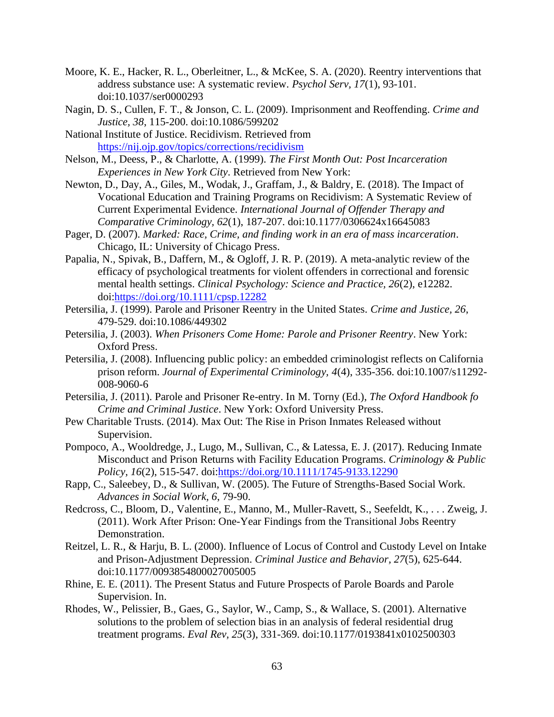- <span id="page-71-1"></span>Moore, K. E., Hacker, R. L., Oberleitner, L., & McKee, S. A. (2020). Reentry interventions that address substance use: A systematic review. *Psychol Serv, 17*(1), 93-101. doi:10.1037/ser0000293
- Nagin, D. S., Cullen, F. T., & Jonson, C. L. (2009). Imprisonment and Reoffending. *Crime and Justice, 38*, 115-200. doi:10.1086/599202
- <span id="page-71-5"></span>National Institute of Justice. Recidivism. Retrieved from <https://nij.ojp.gov/topics/corrections/recidivism>
- Nelson, M., Deess, P., & Charlotte, A. (1999). *The First Month Out: Post Incarceration Experiences in New York City*. Retrieved from New York:
- <span id="page-71-7"></span>Newton, D., Day, A., Giles, M., Wodak, J., Graffam, J., & Baldry, E. (2018). The Impact of Vocational Education and Training Programs on Recidivism: A Systematic Review of Current Experimental Evidence. *International Journal of Offender Therapy and Comparative Criminology, 62*(1), 187-207. doi:10.1177/0306624x16645083
- <span id="page-71-4"></span>Pager, D. (2007). *Marked: Race, Crime, and finding work in an era of mass incarceration*. Chicago, IL: University of Chicago Press.
- <span id="page-71-2"></span>Papalia, N., Spivak, B., Daffern, M., & Ogloff, J. R. P. (2019). A meta-analytic review of the efficacy of psychological treatments for violent offenders in correctional and forensic mental health settings. *Clinical Psychology: Science and Practice, 26*(2), e12282. doi[:https://doi.org/10.1111/cpsp.12282](https://doi.org/10.1111/cpsp.12282)
- Petersilia, J. (1999). Parole and Prisoner Reentry in the United States. *Crime and Justice, 26*, 479-529. doi:10.1086/449302
- Petersilia, J. (2003). *When Prisoners Come Home: Parole and Prisoner Reentry*. New York: Oxford Press.
- Petersilia, J. (2008). Influencing public policy: an embedded criminologist reflects on California prison reform. *Journal of Experimental Criminology, 4*(4), 335-356. doi:10.1007/s11292- 008-9060-6
- Petersilia, J. (2011). Parole and Prisoner Re-entry. In M. Torny (Ed.), *The Oxford Handbook fo Crime and Criminal Justice*. New York: Oxford University Press.
- Pew Charitable Trusts. (2014). Max Out: The Rise in Prison Inmates Released without Supervision.
- Pompoco, A., Wooldredge, J., Lugo, M., Sullivan, C., & Latessa, E. J. (2017). Reducing Inmate Misconduct and Prison Returns with Facility Education Programs. *Criminology & Public Policy, 16*(2), 515-547. doi[:https://doi.org/10.1111/1745-9133.12290](https://doi.org/10.1111/1745-9133.12290)
- <span id="page-71-3"></span>Rapp, C., Saleebey, D., & Sullivan, W. (2005). The Future of Strengths-Based Social Work. *Advances in Social Work, 6*, 79-90.
- Redcross, C., Bloom, D., Valentine, E., Manno, M., Muller-Ravett, S., Seefeldt, K., . . . Zweig, J. (2011). Work After Prison: One-Year Findings from the Transitional Jobs Reentry Demonstration.
- <span id="page-71-6"></span>Reitzel, L. R., & Harju, B. L. (2000). Influence of Locus of Control and Custody Level on Intake and Prison-Adjustment Depression. *Criminal Justice and Behavior, 27*(5), 625-644. doi:10.1177/0093854800027005005
- Rhine, E. E. (2011). The Present Status and Future Prospects of Parole Boards and Parole Supervision. In.
- <span id="page-71-0"></span>Rhodes, W., Pelissier, B., Gaes, G., Saylor, W., Camp, S., & Wallace, S. (2001). Alternative solutions to the problem of selection bias in an analysis of federal residential drug treatment programs. *Eval Rev, 25*(3), 331-369. doi:10.1177/0193841x0102500303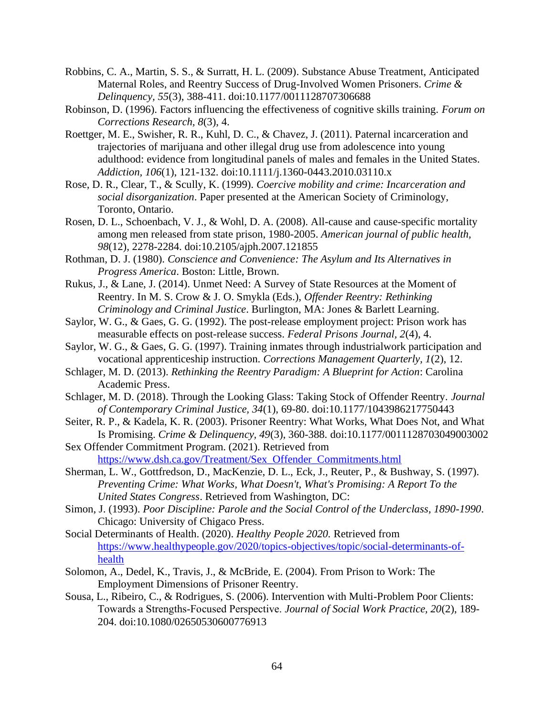- Robbins, C. A., Martin, S. S., & Surratt, H. L. (2009). Substance Abuse Treatment, Anticipated Maternal Roles, and Reentry Success of Drug-Involved Women Prisoners. *Crime & Delinquency, 55*(3), 388-411. doi:10.1177/0011128707306688
- Robinson, D. (1996). Factors influencing the effectiveness of cognitive skills training. *Forum on Corrections Research, 8*(3), 4.
- Roettger, M. E., Swisher, R. R., Kuhl, D. C., & Chavez, J. (2011). Paternal incarceration and trajectories of marijuana and other illegal drug use from adolescence into young adulthood: evidence from longitudinal panels of males and females in the United States. *Addiction, 106*(1), 121-132. doi:10.1111/j.1360-0443.2010.03110.x
- Rose, D. R., Clear, T., & Scully, K. (1999). *Coercive mobility and crime: Incarceration and social disorganization*. Paper presented at the American Society of Criminology, Toronto, Ontario.
- Rosen, D. L., Schoenbach, V. J., & Wohl, D. A. (2008). All-cause and cause-specific mortality among men released from state prison, 1980-2005. *American journal of public health, 98*(12), 2278-2284. doi:10.2105/ajph.2007.121855
- Rothman, D. J. (1980). *Conscience and Convenience: The Asylum and Its Alternatives in Progress America*. Boston: Little, Brown.
- Rukus, J., & Lane, J. (2014). Unmet Need: A Survey of State Resources at the Moment of Reentry. In M. S. Crow & J. O. Smykla (Eds.), *Offender Reentry: Rethinking Criminology and Criminal Justice*. Burlington, MA: Jones & Barlett Learning.
- Saylor, W. G., & Gaes, G. G. (1992). The post-release employment project: Prison work has measurable effects on post-release success. *Federal Prisons Journal, 2*(4), 4.
- Saylor, W. G., & Gaes, G. G. (1997). Training inmates through industrialwork participation and vocational apprenticeship instruction. *Corrections Management Quarterly, 1*(2), 12.
- Schlager, M. D. (2013). *Rethinking the Reentry Paradigm: A Blueprint for Action*: Carolina Academic Press.
- Schlager, M. D. (2018). Through the Looking Glass: Taking Stock of Offender Reentry. *Journal of Contemporary Criminal Justice, 34*(1), 69-80. doi:10.1177/1043986217750443
- Seiter, R. P., & Kadela, K. R. (2003). Prisoner Reentry: What Works, What Does Not, and What Is Promising. *Crime & Delinquency, 49*(3), 360-388. doi:10.1177/0011128703049003002
- Sex Offender Commitment Program. (2021). Retrieved from [https://www.dsh.ca.gov/Treatment/Sex\\_Offender\\_Commitments.html](https://www.dsh.ca.gov/Treatment/Sex_Offender_Commitments.html)
- Sherman, L. W., Gottfredson, D., MacKenzie, D. L., Eck, J., Reuter, P., & Bushway, S. (1997). *Preventing Crime: What Works, What Doesn't, What's Promising: A Report To the United States Congress*. Retrieved from Washington, DC:
- Simon, J. (1993). *Poor Discipline: Parole and the Social Control of the Underclass, 1890-1990*. Chicago: University of Chigaco Press.
- Social Determinants of Health. (2020). *Healthy People 2020.* Retrieved from [https://www.healthypeople.gov/2020/topics-objectives/topic/social-determinants-of](https://www.healthypeople.gov/2020/topics-objectives/topic/social-determinants-of-health)[health](https://www.healthypeople.gov/2020/topics-objectives/topic/social-determinants-of-health)
- Solomon, A., Dedel, K., Travis, J., & McBride, E. (2004). From Prison to Work: The Employment Dimensions of Prisoner Reentry.
- Sousa, L., Ribeiro, C., & Rodrigues, S. (2006). Intervention with Multi-Problem Poor Clients: Towards a Strengths‐Focused Perspective. *Journal of Social Work Practice, 20*(2), 189- 204. doi:10.1080/02650530600776913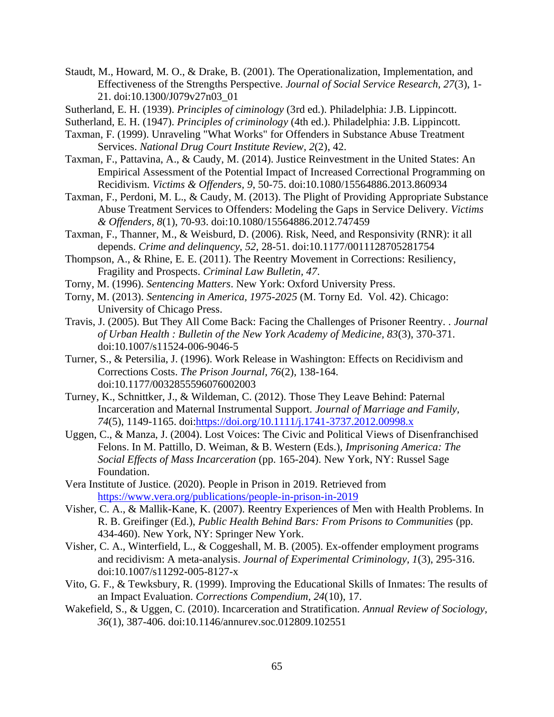- Staudt, M., Howard, M. O., & Drake, B. (2001). The Operationalization, Implementation, and Effectiveness of the Strengths Perspective. *Journal of Social Service Research, 27*(3), 1- 21. doi:10.1300/J079v27n03\_01
- Sutherland, E. H. (1939). *Principles of ciminology* (3rd ed.). Philadelphia: J.B. Lippincott.
- Sutherland, E. H. (1947). *Principles of criminology* (4th ed.). Philadelphia: J.B. Lippincott.
- Taxman, F. (1999). Unraveling "What Works" for Offenders in Substance Abuse Treatment Services. *National Drug Court Institute Review, 2*(2), 42.
- Taxman, F., Pattavina, A., & Caudy, M. (2014). Justice Reinvestment in the United States: An Empirical Assessment of the Potential Impact of Increased Correctional Programming on Recidivism. *Victims & Offenders, 9*, 50-75. doi:10.1080/15564886.2013.860934
- Taxman, F., Perdoni, M. L., & Caudy, M. (2013). The Plight of Providing Appropriate Substance Abuse Treatment Services to Offenders: Modeling the Gaps in Service Delivery. *Victims & Offenders, 8*(1), 70-93. doi:10.1080/15564886.2012.747459
- Taxman, F., Thanner, M., & Weisburd, D. (2006). Risk, Need, and Responsivity (RNR): it all depends. *Crime and delinquency, 52*, 28-51. doi:10.1177/0011128705281754
- Thompson, A., & Rhine, E. E. (2011). The Reentry Movement in Corrections: Resiliency, Fragility and Prospects. *Criminal Law Bulletin, 47*.
- Torny, M. (1996). *Sentencing Matters*. New York: Oxford University Press.
- Torny, M. (2013). *Sentencing in America, 1975-2025* (M. Torny Ed. Vol. 42). Chicago: University of Chicago Press.
- Travis, J. (2005). But They All Come Back: Facing the Challenges of Prisoner Reentry. . *Journal of Urban Health : Bulletin of the New York Academy of Medicine, 83*(3), 370-371. doi:10.1007/s11524-006-9046-5
- Turner, S., & Petersilia, J. (1996). Work Release in Washington: Effects on Recidivism and Corrections Costs. *The Prison Journal, 76*(2), 138-164. doi:10.1177/0032855596076002003
- Turney, K., Schnittker, J., & Wildeman, C. (2012). Those They Leave Behind: Paternal Incarceration and Maternal Instrumental Support. *Journal of Marriage and Family, 74*(5), 1149-1165. doi[:https://doi.org/10.1111/j.1741-3737.2012.00998.x](https://doi.org/10.1111/j.1741-3737.2012.00998.x)
- Uggen, C., & Manza, J. (2004). Lost Voices: The Civic and Political Views of Disenfranchised Felons. In M. Pattillo, D. Weiman, & B. Western (Eds.), *Imprisoning America: The Social Effects of Mass Incarceration* (pp. 165-204). New York, NY: Russel Sage Foundation.
- Vera Institute of Justice. (2020). People in Prison in 2019. Retrieved from <https://www.vera.org/publications/people-in-prison-in-2019>
- Visher, C. A., & Mallik-Kane, K. (2007). Reentry Experiences of Men with Health Problems. In R. B. Greifinger (Ed.), *Public Health Behind Bars: From Prisons to Communities* (pp. 434-460). New York, NY: Springer New York.
- Visher, C. A., Winterfield, L., & Coggeshall, M. B. (2005). Ex-offender employment programs and recidivism: A meta-analysis. *Journal of Experimental Criminology, 1*(3), 295-316. doi:10.1007/s11292-005-8127-x
- Vito, G. F., & Tewksbury, R. (1999). Improving the Educational Skills of Inmates: The results of an Impact Evaluation. *Corrections Compendium, 24*(10), 17.
- Wakefield, S., & Uggen, C. (2010). Incarceration and Stratification. *Annual Review of Sociology, 36*(1), 387-406. doi:10.1146/annurev.soc.012809.102551